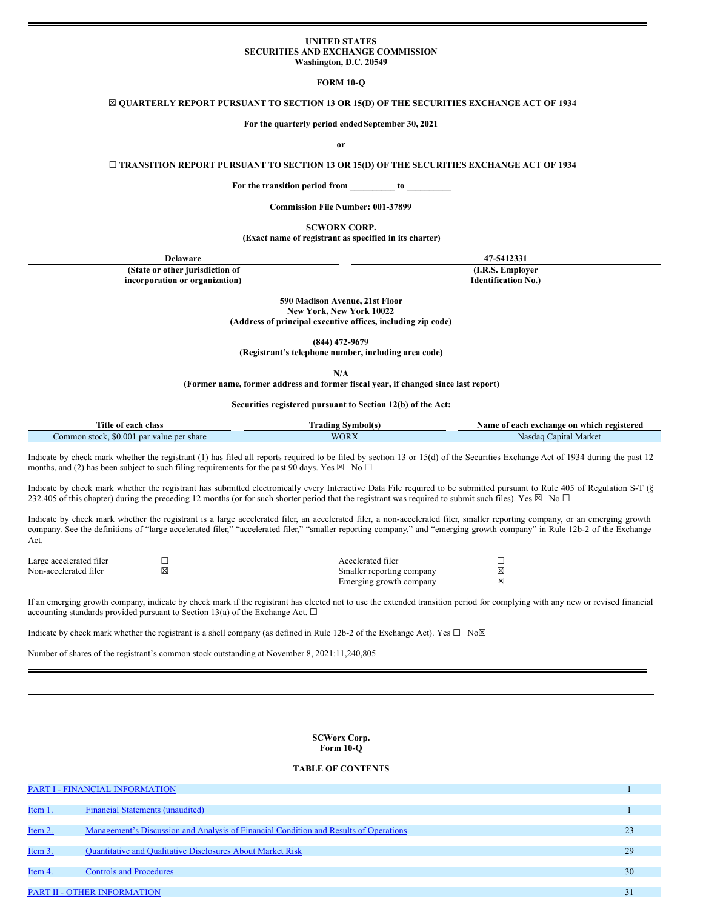## **UNITED STATES SECURITIES AND EXCHANGE COMMISSION Washington, D.C. 20549**

**FORM 10-Q**

## <span id="page-0-0"></span>☒ **QUARTERLY REPORT PURSUANT TO SECTION 13 OR 15(D) OF THE SECURITIES EXCHANGE ACT OF 1934**

**For the quarterly period endedSeptember 30, 2021**

**or**

# ☐ **TRANSITION REPORT PURSUANT TO SECTION 13 OR 15(D) OF THE SECURITIES EXCHANGE ACT OF 1934**

**For the transition period from \_\_\_\_\_\_\_\_\_\_ to \_\_\_\_\_\_\_\_\_\_**

**Commission File Number: 001-37899**

**SCWORX CORP.**

**(Exact name of registrant as specified in its charter)**

**Delaware 47-5412331**

**(State or other jurisdiction of incorporation or organization)**

**(I.R.S. Employer Identification No.)**

**590 Madison Avenue, 21st Floor New York, New York 10022 (Address of principal executive offices, including zip code)**

**(844) 472-9679 (Registrant's telephone number, including area code)**

**N/A**

**(Former name, former address and former fiscal year, if changed since last report)**

**Securities registered pursuant to Section 12(b) of the Act:**

| Title of each<br>. class                              | Symbol(s<br>rading | Name of each exchange on which registered |
|-------------------------------------------------------|--------------------|-------------------------------------------|
| \$0.001<br>ommon_<br>l par value per share<br>' stock | <b>WORX</b>        | Marke<br>Capital l<br>Nasdad              |

Indicate by check mark whether the registrant (1) has filed all reports required to be filed by section 13 or 15(d) of the Securities Exchange Act of 1934 during the past 12 months, and (2) has been subject to such filing requirements for the past 90 days. Yes  $\boxtimes$  No  $\Box$ 

Indicate by check mark whether the registrant has submitted electronically every Interactive Data File required to be submitted pursuant to Rule 405 of Regulation S-T (§ 232.405 of this chapter) during the preceding 12 months (or for such shorter period that the registrant was required to submit such files). Yes  $\boxtimes$  No  $\Box$ 

Indicate by check mark whether the registrant is a large accelerated filer, an accelerated filer, a non-accelerated filer, smaller reporting company, or an emerging growth company. See the definitions of "large accelerated filer," "accelerated filer," "smaller reporting company," and "emerging growth company" in Rule 12b-2 of the Exchange Act.

Large accelerated filer ☐ Accelerated filer ☐ Non-accelerated filer **⊠** ⊠ Smaller reporting company ⊠ Emerging growth company  $\boxtimes$ 

If an emerging growth company, indicate by check mark if the registrant has elected not to use the extended transition period for complying with any new or revised financial accounting standards provided pursuant to Section 13(a) of the Exchange Act.  $\square$ 

Indicate by check mark whether the registrant is a shell company (as defined in Rule 12b-2 of the Exchange Act). Yes  $\Box$  No $\boxtimes$ 

Number of shares of the registrant's common stock outstanding at November 8, 2021:11,240,805

**SCWorx Corp. Form 10-Q**

# **TABLE OF CONTENTS**

|         | PART I - FINANCIAL INFORMATION                                                               |    |  |  |
|---------|----------------------------------------------------------------------------------------------|----|--|--|
|         |                                                                                              |    |  |  |
| Item 1. | <b>Financial Statements (unaudited)</b>                                                      |    |  |  |
|         |                                                                                              |    |  |  |
| Item 2. | <u>Management's Discussion and Analysis of Financial Condition and Results of Operations</u> |    |  |  |
|         |                                                                                              |    |  |  |
| Item 3. | <b>Quantitative and Qualitative Disclosures About Market Risk</b>                            | 29 |  |  |
|         |                                                                                              |    |  |  |
| Item 4. | <b>Controls and Procedures</b>                                                               | 30 |  |  |
|         |                                                                                              |    |  |  |
|         | PART II - OTHER INFORMATION                                                                  | 31 |  |  |
|         |                                                                                              |    |  |  |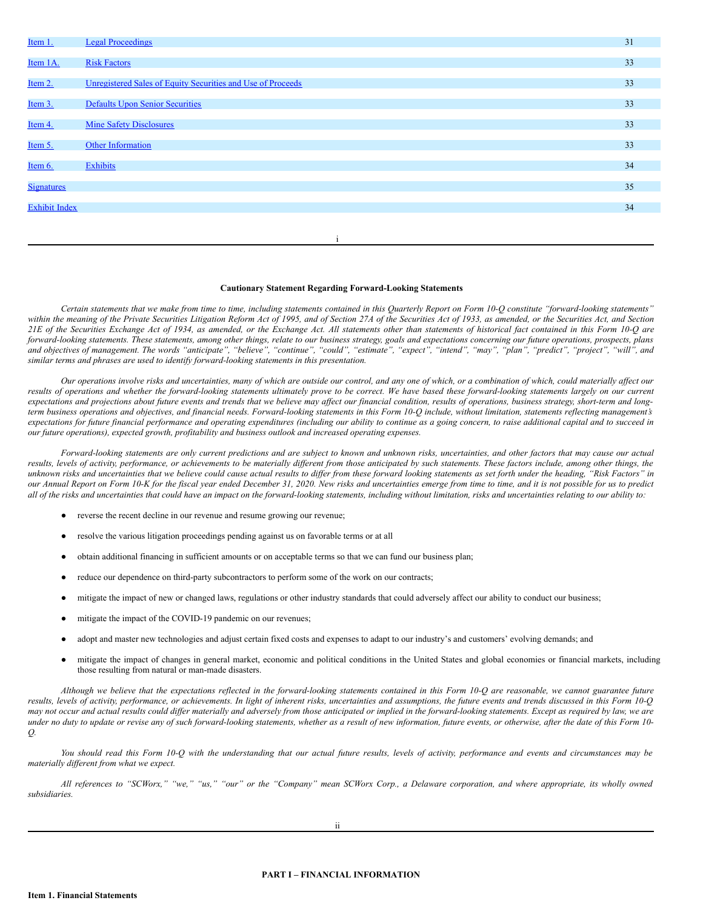| Item 1.              | <b>Legal Proceedings</b>                                    | 31 |
|----------------------|-------------------------------------------------------------|----|
|                      |                                                             |    |
| Item 1A.             | <b>Risk Factors</b>                                         | 33 |
| Item 2.              | Unregistered Sales of Equity Securities and Use of Proceeds | 33 |
| Item 3.              | <b>Defaults Upon Senior Securities</b>                      | 33 |
|                      |                                                             |    |
| Item 4.              | <b>Mine Safety Disclosures</b>                              | 33 |
|                      |                                                             |    |
| Item 5.              | Other Information                                           | 33 |
| Item 6.              | <b>Exhibits</b>                                             | 34 |
|                      |                                                             |    |
| <b>Signatures</b>    |                                                             | 35 |
| <b>Exhibit Index</b> |                                                             | 34 |
|                      |                                                             |    |
|                      |                                                             |    |

# **Cautionary Statement Regarding Forward-Looking Statements**

Certain statements that we make from time to time, including statements contained in this Quarterly Report on Form 10-Q constitute "forward-looking statements" within the meaning of the Private Securities Litigation Reform Act of 1995, and of Section 27A of the Securities Act of 1933, as amended, or the Securities Act, and Section 21E of the Securities Exchange Act of 1934, as amended, or the Exchange Act. All statements other than statements of historical fact contained in this Form 10-Q are forward-looking statements. These statements, among other things, relate to our business strategy, goals and expectations concerning our future operations, prospects, plans and objectives of management. The words "anticipate", "believe", "continue", "could", "estimate", "expect", "intend", "may", "plan", "predict", "project", "will", and *similar terms and phrases are used to identify forward-looking statements in this presentation.*

Our operations involve risks and uncertainties, many of which are outside our control, and any one of which, or a combination of which, could materially affect our results of operations and whether the forward-looking statements ultimately prove to be correct. We have based these forward-looking statements largely on our current expectations and projections about future events and trends that we believe may affect our financial condition, results of operations, business strategy, short-term and longterm business operations and objectives, and financial needs. Forward-looking statements in this Form 10-Q include, without limitation, statements reflecting management's expectations for future financial performance and operating expenditures (including our ability to continue as a going concern, to raise additional capital and to succeed in *our future operations), expected growth, profitability and business outlook and increased operating expenses.*

Forward-looking statements are only current predictions and are subject to known and unknown risks, uncertainties, and other factors that may cause our actual results, levels of activity, performance, or achievements to be materially different from those anticipated by such statements. These factors include, among other things, the unknown risks and uncertainties that we believe could cause actual results to differ from these forward looking statements as set forth under the heading, "Risk Factors" in our Annual Report on Form 10-K for the fiscal year ended December 31, 2020. New risks and uncertainties emerge from time to time, and it is not possible for us to predict all of the risks and uncertainties that could have an impact on the forward-looking statements, including without limitation, risks and uncertainties relating to our ability to:

- reverse the recent decline in our revenue and resume growing our revenue;
- resolve the various litigation proceedings pending against us on favorable terms or at all
- obtain additional financing in sufficient amounts or on acceptable terms so that we can fund our business plan;
- reduce our dependence on third-party subcontractors to perform some of the work on our contracts;
- mitigate the impact of new or changed laws, regulations or other industry standards that could adversely affect our ability to conduct our business;
- mitigate the impact of the COVID-19 pandemic on our revenues;
- adopt and master new technologies and adjust certain fixed costs and expenses to adapt to our industry's and customers' evolving demands; and
- mitigate the impact of changes in general market, economic and political conditions in the United States and global economies or financial markets, including those resulting from natural or man-made disasters.

Although we believe that the expectations reflected in the forward-looking statements contained in this Form 10-O are reasonable, we cannot guarantee future results, levels of activity, performance, or achievements. In light of inherent risks, uncertainties and assumptions, the future events and trends discussed in this Form 10-Q may not occur and actual results could differ materially and adversely from those anticipated or implied in the forward-looking statements. Except as required by law, we are under no duty to update or revise any of such forward-looking statements, whether as a result of new information, future events, or otherwise, after the date of this Form 10-*Q.*

You should read this Form 10-Q with the understanding that our actual future results, levels of activity, performance and events and circumstances may be *materially dif erent from what we expect.*

All references to "SCWorx," "we," "us," "our" or the "Company" mean SCWorx Corp., a Delaware corporation, and where appropriate, its wholly owned *subsidiaries.*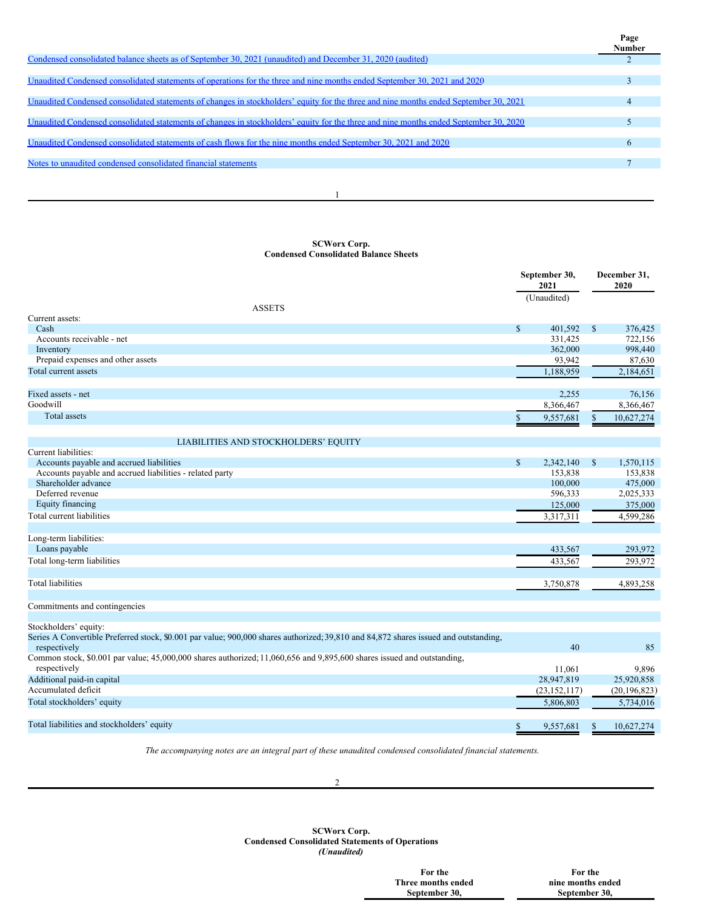|                                                                                                                                       | Page<br><b>Number</b> |
|---------------------------------------------------------------------------------------------------------------------------------------|-----------------------|
| Condensed consolidated balance sheets as of September 30, 2021 (unaudited) and December 31, 2020 (audited)                            |                       |
| Unaudited Condensed consolidated statements of operations for the three and nine months ended September 30, 2021 and 2020             |                       |
| Unaudited Condensed consolidated statements of changes in stockholders' equity for the three and nine months ended September 30, 2021 |                       |
| Unaudited Condensed consolidated statements of changes in stockholders' equity for the three and nine months ended September 30, 2020 |                       |
| Unaudited Condensed consolidated statements of cash flows for the nine months ended September 30, 2021 and 2020                       | 6                     |
| Notes to unaudited condensed consolidated financial statements                                                                        |                       |
|                                                                                                                                       |                       |

## **SCWorx Corp. Condensed Consolidated Balance Sheets**

1

|                                                                                                                                                      |              | September 30,<br>2021<br>(Unaudited) | December 31,<br>2020 |                     |
|------------------------------------------------------------------------------------------------------------------------------------------------------|--------------|--------------------------------------|----------------------|---------------------|
| <b>ASSETS</b>                                                                                                                                        |              |                                      |                      |                     |
| Current assets:                                                                                                                                      |              |                                      |                      |                     |
| Cash                                                                                                                                                 | $\mathbb{S}$ | 401.592                              | $\mathbb{S}$         | 376,425             |
| Accounts receivable - net                                                                                                                            |              | 331,425                              |                      | 722,156             |
| Inventory                                                                                                                                            |              | 362,000                              |                      | 998,440             |
| Prepaid expenses and other assets                                                                                                                    |              | 93,942                               |                      | 87,630              |
| Total current assets                                                                                                                                 |              | 1,188,959                            |                      | 2,184,651           |
| Fixed assets - net                                                                                                                                   |              | 2,255                                |                      | 76,156              |
| Goodwill                                                                                                                                             |              | 8,366,467                            |                      | 8,366,467           |
| <b>Total assets</b>                                                                                                                                  | $\mathbb{S}$ | 9,557,681                            | $\mathbb{S}$         | 10,627,274          |
| LIABILITIES AND STOCKHOLDERS' EQUITY                                                                                                                 |              |                                      |                      |                     |
| Current liabilities:                                                                                                                                 |              |                                      |                      |                     |
| Accounts payable and accrued liabilities                                                                                                             | $\mathbb{S}$ | 2,342,140                            | $\mathbb{S}$         | 1,570,115           |
| Accounts payable and accrued liabilities - related party                                                                                             |              | 153,838                              |                      | 153,838             |
| Shareholder advance                                                                                                                                  |              | 100,000                              |                      | 475,000             |
| Deferred revenue                                                                                                                                     |              | 596,333                              |                      | 2,025,333           |
| <b>Equity financing</b>                                                                                                                              |              | 125,000                              |                      | 375,000             |
| Total current liabilities                                                                                                                            |              | 3,317,311                            |                      | 4,599,286           |
| Long-term liabilities:                                                                                                                               |              |                                      |                      |                     |
| Loans payable                                                                                                                                        |              | 433,567                              |                      | 293,972             |
| Total long-term liabilities                                                                                                                          |              | 433,567                              |                      | 293,972             |
| <b>Total liabilities</b>                                                                                                                             |              | 3,750,878                            |                      | 4,893,258           |
| Commitments and contingencies                                                                                                                        |              |                                      |                      |                     |
|                                                                                                                                                      |              |                                      |                      |                     |
| Stockholders' equity:                                                                                                                                |              |                                      |                      |                     |
| Series A Convertible Preferred stock, \$0.001 par value; 900,000 shares authorized; 39,810 and 84,872 shares issued and outstanding,<br>respectively |              | 40                                   |                      | 85                  |
| Common stock, \$0.001 par value; 45,000,000 shares authorized; 11,060,656 and 9,895,600 shares issued and outstanding,<br>respectively               |              |                                      |                      |                     |
|                                                                                                                                                      |              | 11,061<br>28,947,819                 |                      | 9,896<br>25,920,858 |
| Additional paid-in capital<br>Accumulated deficit                                                                                                    |              |                                      |                      |                     |
|                                                                                                                                                      |              | (23, 152, 117)                       |                      | (20, 196, 823)      |
| Total stockholders' equity                                                                                                                           |              | 5,806,803                            |                      | 5,734,016           |
| Total liabilities and stockholders' equity                                                                                                           | \$           | 9,557,681                            | S                    | 10,627,274          |

*The accompanying notes are an integral part of these unaudited condensed consolidated financial statements.*

2

**SCWorx Corp. Condensed Consolidated Statements of Operations** *(Unaudited)*

> **For the Three months ended September 30,**

**For the nine months ended September 30,**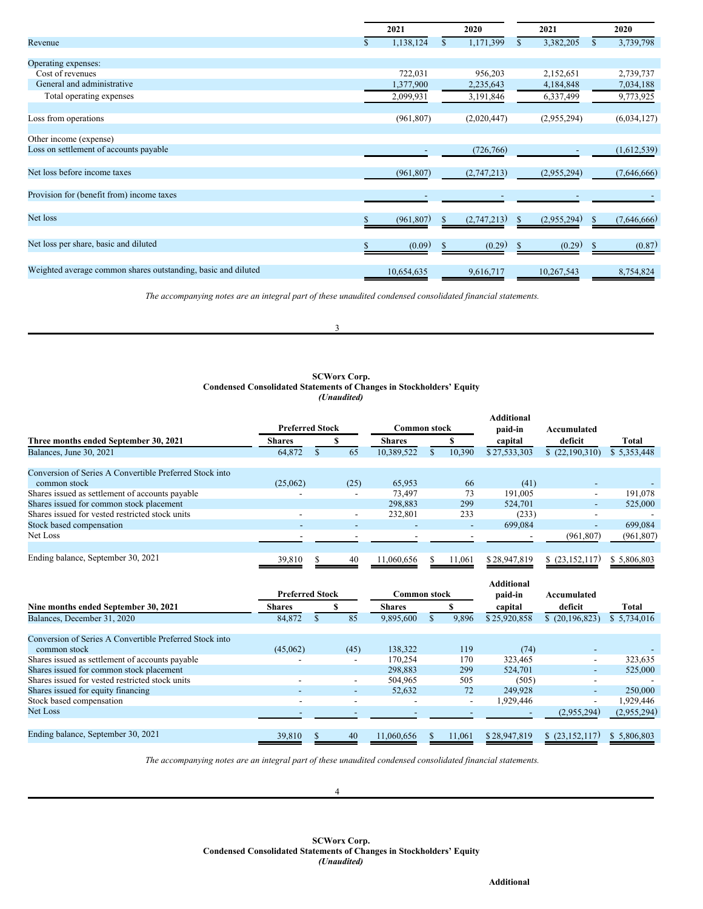|                                                               | 2021            |               | 2020        |              | 2021        |    | 2020        |
|---------------------------------------------------------------|-----------------|---------------|-------------|--------------|-------------|----|-------------|
| Revenue                                                       | \$<br>1,138,124 | $\mathbb{S}$  | 1,171,399   | \$           | 3,382,205   | \$ | 3,739,798   |
| Operating expenses:                                           |                 |               |             |              |             |    |             |
| Cost of revenues                                              | 722,031         |               | 956,203     |              | 2,152,651   |    | 2,739,737   |
| General and administrative                                    | 1,377,900       |               | 2,235,643   |              | 4,184,848   |    | 7,034,188   |
| Total operating expenses                                      | 2,099,931       |               | 3,191,846   |              | 6,337,499   |    | 9,773,925   |
| Loss from operations                                          | (961, 807)      |               | (2,020,447) |              | (2,955,294) |    | (6,034,127) |
| Other income (expense)                                        |                 |               |             |              |             |    |             |
| Loss on settlement of accounts payable                        |                 |               | (726, 766)  |              |             |    | (1,612,539) |
| Net loss before income taxes                                  | (961, 807)      |               | (2,747,213) |              | (2,955,294) |    | (7,646,666) |
| Provision for (benefit from) income taxes                     |                 |               |             |              |             |    |             |
| Net loss                                                      | (961, 807)      | <sup>\$</sup> | (2,747,213) | $\mathbb{S}$ | (2,955,294) | S. | (7,646,666) |
| Net loss per share, basic and diluted                         | (0.09)          | <sup>\$</sup> | (0.29)      | \$           | (0.29)      | S. | (0.87)      |
| Weighted average common shares outstanding, basic and diluted | 10,654,635      |               | 9,616,717   |              | 10,267,543  |    | 8,754,824   |

*The accompanying notes are an integral part of these unaudited condensed consolidated financial statements.*

3

**SCWorx Corp. Condensed Consolidated Statements of Changes in Stockholders' Equity** *(Unaudited)*

|                                                                         | <b>Preferred Stock</b> |              |                | <b>Common stock</b> |              |                          | <b>Additional</b><br>paid-in | Accumulated              |              |
|-------------------------------------------------------------------------|------------------------|--------------|----------------|---------------------|--------------|--------------------------|------------------------------|--------------------------|--------------|
| Three months ended September 30, 2021                                   | <b>Shares</b>          | S            |                | <b>Shares</b>       |              | S                        | capital                      | deficit                  | Total        |
| Balances, June 30, 2021                                                 | 64,872                 | $\mathbb{S}$ | 65             | 10,389,522          | \$.          | 10,390                   | \$27,533,303                 | \$(22,190,310)           | \$5,353,448  |
| Conversion of Series A Convertible Preferred Stock into<br>common stock | (25,062)               |              | (25)           | 65.953              |              | 66                       | (41)                         |                          |              |
| Shares issued as settlement of accounts payable                         |                        |              |                | 73,497              |              | 73                       | 191.005                      |                          | 191.078      |
| Shares issued for common stock placement                                |                        |              |                | 298,883             |              | 299                      | 524,701                      |                          | 525,000      |
| Shares issued for vested restricted stock units                         |                        |              |                | 232,801             |              | 233                      | (233)                        |                          |              |
| Stock based compensation                                                |                        |              |                |                     |              | $\overline{\phantom{a}}$ | 699,084                      | $\blacksquare$           | 699.084      |
| Net Loss                                                                |                        |              |                |                     |              |                          |                              | (961, 807)               | (961, 807)   |
|                                                                         |                        |              |                |                     |              |                          |                              |                          |              |
| Ending balance, September 30, 2021                                      | 39,810                 | S            | 40             | 11,060,656          |              | 11,061                   | \$28,947,819                 | \$(23,152,117)           | \$5,806,803  |
|                                                                         |                        |              |                |                     |              |                          |                              |                          |              |
|                                                                         | <b>Preferred Stock</b> |              |                | <b>Common stock</b> |              |                          | <b>Additional</b><br>paid-in | Accumulated              |              |
| Nine months ended September 30, 2021                                    | <b>Shares</b>          | \$           |                | <b>Shares</b>       |              | \$                       | capital                      | deficit                  | <b>Total</b> |
| Balances, December 31, 2020                                             | 84,872                 | $\mathbb{S}$ | 85             | 9,895,600           | $\mathbb{S}$ | 9,896                    | \$25,920,858                 | \$(20,196,823)           | \$5,734,016  |
|                                                                         |                        |              |                |                     |              |                          |                              |                          |              |
| Conversion of Series A Convertible Preferred Stock into                 |                        |              |                |                     |              |                          |                              |                          |              |
| common stock                                                            | (45,062)               |              | (45)           | 138,322             |              | 119                      | (74)                         |                          |              |
| Shares issued as settlement of accounts payable                         |                        |              |                | 170,254             |              | 170                      | 323,465                      |                          | 323,635      |
| Shares issued for common stock placement                                |                        |              |                | 298.883             |              | 299                      | 524,701                      |                          | 525,000      |
| Shares issued for vested restricted stock units                         |                        |              | $\blacksquare$ | 504,965             |              | 505                      | (505)                        | $\overline{a}$           |              |
| Shares issued for equity financing                                      |                        |              |                | 52,632              |              | 72                       | 249,928                      | $\overline{\phantom{0}}$ | 250,000      |
| Stock based compensation                                                |                        |              |                |                     |              | $\overline{\phantom{a}}$ | 1,929,446                    |                          | 1,929,446    |
| Net Loss                                                                |                        |              |                |                     |              |                          |                              | (2,955,294)              | (2,955,294)  |
|                                                                         |                        |              |                |                     |              |                          |                              |                          |              |

*The accompanying notes are an integral part of these unaudited condensed consolidated financial statements.*

4

**SCWorx Corp. Condensed Consolidated Statements of Changes in Stockholders' Equity** *(Unaudited)*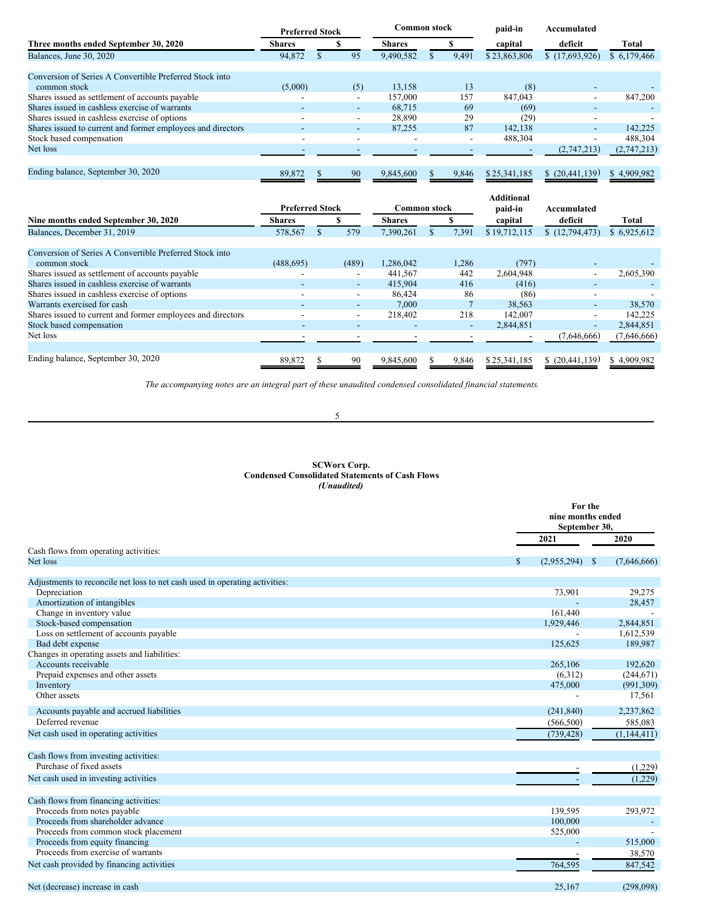|                                                                         |                        | <b>Common stock</b><br>paid-in<br><b>Preferred Stock</b> |                          |                     |  |                          |                              |                 |             | Accumulated |  |  |  |
|-------------------------------------------------------------------------|------------------------|----------------------------------------------------------|--------------------------|---------------------|--|--------------------------|------------------------------|-----------------|-------------|-------------|--|--|--|
| Three months ended September 30, 2020                                   | <b>Shares</b>          |                                                          |                          | <b>Shares</b>       |  |                          | capital                      | deficit         | Total       |             |  |  |  |
| Balances, June 30, 2020                                                 | 94,872                 |                                                          | 95                       | 9,490,582           |  | 9,491                    | \$23,863,806                 | (17,693,926)    | \$6,179,466 |             |  |  |  |
| Conversion of Series A Convertible Preferred Stock into<br>common stock | (5,000)                |                                                          | (5)                      | 13,158              |  | 13                       | (8)                          |                 |             |             |  |  |  |
| Shares issued as settlement of accounts payable                         |                        |                                                          | $\overline{\phantom{a}}$ | 157,000             |  | 157                      | 847,043                      |                 | 847,200     |             |  |  |  |
| Shares issued in cashless exercise of warrants                          |                        |                                                          | -                        | 68,715              |  | 69                       | (69)                         |                 |             |             |  |  |  |
| Shares issued in cashless exercise of options                           |                        |                                                          | $\overline{\phantom{a}}$ | 28,890              |  | 29                       | (29)                         |                 |             |             |  |  |  |
| Shares issued to current and former employees and directors             |                        |                                                          | $\overline{\phantom{0}}$ | 87,255              |  | 87                       | 142,138                      |                 | 142,225     |             |  |  |  |
| Stock based compensation                                                |                        |                                                          | ٠                        |                     |  | $\overline{\phantom{a}}$ | 488,304                      |                 | 488,304     |             |  |  |  |
| Net loss                                                                |                        |                                                          |                          |                     |  |                          |                              | (2,747,213)     | (2,747,213) |             |  |  |  |
| Ending balance, September 30, 2020                                      | 89,872                 |                                                          | 90                       | 9,845,600           |  | 9,846                    | \$25,341,185                 | \$ (20,441,139) | \$4,909,982 |             |  |  |  |
|                                                                         | <b>Preferred Stock</b> |                                                          |                          | <b>Common stock</b> |  |                          | <b>Additional</b><br>paid-in | Accumulated     |             |             |  |  |  |
| Nine months ended September 30, 2020                                    | <b>Shares</b>          |                                                          |                          | <b>Shares</b>       |  |                          | capital                      | deficit         | Total       |             |  |  |  |
| Balances, December 31, 2019                                             | 578,567                |                                                          | 579                      | 7,390,261           |  | 7,391                    | \$19,712,115                 | \$(12,794,473)  | \$6,925,612 |             |  |  |  |

| (488, 695)               | (489)                    | .286,042  | 1,286                    | (797)        | $\overline{\phantom{0}}$ |             |
|--------------------------|--------------------------|-----------|--------------------------|--------------|--------------------------|-------------|
|                          |                          | 441,567   | 442                      | 2,604,948    |                          | 2,605,390   |
| $\overline{\phantom{a}}$ | $\overline{\phantom{0}}$ | 415,904   | 416                      | (416)        |                          |             |
| $\overline{\phantom{a}}$ | -                        | 86.424    | 86                       | (86)         |                          |             |
|                          | $\overline{\phantom{a}}$ | 7.000     |                          | 38.563       | $\overline{\phantom{0}}$ | 38,570      |
|                          |                          | 218,402   | 218                      | 142,007      | -                        | 142.225     |
|                          |                          |           | $\overline{\phantom{a}}$ | 2,844,851    | $\overline{\phantom{0}}$ | 2,844,851   |
|                          |                          |           |                          |              | (7,646,666)              | (7,646,666) |
|                          |                          |           |                          |              |                          |             |
| 89.872                   | 90                       | 9,845,600 | 9,846                    | \$25,341,185 | \$(20,441,139)           | \$4,909,982 |
|                          |                          |           |                          |              |                          |             |

*The accompanying notes are an integral part of these unaudited condensed consolidated financial statements.*

# 5

## **SCWorx Corp. Condensed Consolidated Statements of Cash Flows** *(Unaudited)*

|                                                                             |                             | For the<br>nine months ended<br>September 30, |
|-----------------------------------------------------------------------------|-----------------------------|-----------------------------------------------|
|                                                                             | 2021                        | 2020                                          |
| Cash flows from operating activities:                                       |                             |                                               |
| Net loss                                                                    | $\mathbb{S}$<br>(2,955,294) | (7,646,666)<br>$^{\circ}$                     |
|                                                                             |                             |                                               |
| Adjustments to reconcile net loss to net cash used in operating activities: |                             |                                               |
| Depreciation                                                                | 73,901                      | 29,275                                        |
| Amortization of intangibles                                                 |                             | 28,457                                        |
| Change in inventory value                                                   | 161,440                     |                                               |
| Stock-based compensation                                                    | 1,929,446                   | 2,844,851                                     |
| Loss on settlement of accounts payable                                      |                             | 1,612,539                                     |
| Bad debt expense                                                            | 125,625                     | 189,987                                       |
| Changes in operating assets and liabilities:                                |                             |                                               |
| Accounts receivable                                                         | 265,106                     | 192,620                                       |
| Prepaid expenses and other assets                                           | (6.312)                     | (244, 671)                                    |
| Inventory                                                                   | 475,000                     | (991, 309)                                    |
| Other assets                                                                |                             | 17,561                                        |
| Accounts payable and accrued liabilities                                    | (241, 840)                  | 2,237,862                                     |
| Deferred revenue                                                            | (566, 500)                  | 585,083                                       |
| Net cash used in operating activities                                       | (739, 428)                  | (1,144,411)                                   |
|                                                                             |                             |                                               |
| Cash flows from investing activities:                                       |                             |                                               |
| Purchase of fixed assets                                                    |                             | (1,229)                                       |
| Net cash used in investing activities                                       |                             | (1,229)                                       |
|                                                                             |                             |                                               |
| Cash flows from financing activities:                                       |                             |                                               |
| Proceeds from notes payable                                                 | 139,595                     | 293,972                                       |
| Proceeds from shareholder advance                                           | 100,000                     |                                               |
| Proceeds from common stock placement                                        | 525,000                     |                                               |
| Proceeds from equity financing                                              |                             | 515,000                                       |
| Proceeds from exercise of warrants                                          |                             | 38,570                                        |
| Net cash provided by financing activities                                   | 764,595                     | 847,542                                       |
| Net (decrease) increase in cash                                             | 25.167                      | (298,098)                                     |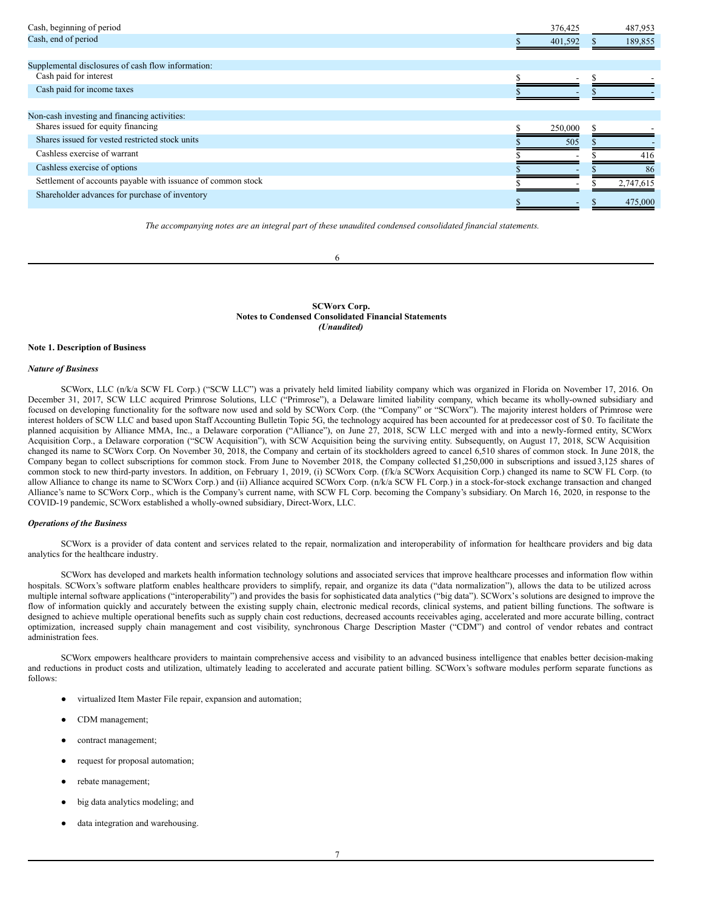| Cash, beginning of period                                    | 376,425 | 487,953   |
|--------------------------------------------------------------|---------|-----------|
| Cash, end of period                                          | 401,592 | 189,855   |
|                                                              |         |           |
| Supplemental disclosures of cash flow information:           |         |           |
| Cash paid for interest                                       |         |           |
| Cash paid for income taxes                                   |         |           |
|                                                              |         |           |
| Non-cash investing and financing activities:                 |         |           |
| Shares issued for equity financing                           | 250,000 |           |
| Shares issued for vested restricted stock units              | 505     |           |
| Cashless exercise of warrant                                 |         | 416       |
| Cashless exercise of options                                 |         | 86        |
| Settlement of accounts payable with issuance of common stock |         | 2,747,615 |
| Shareholder advances for purchase of inventory               |         | 475,000   |

*The accompanying notes are an integral part of these unaudited condensed consolidated financial statements.*

6

## **SCWorx Corp. Notes to Condensed Consolidated Financial Statements** *(Unaudited)*

# **Note 1. Description of Business**

## *Nature of Business*

SCWorx, LLC (n/k/a SCW FL Corp.) ("SCW LLC") was a privately held limited liability company which was organized in Florida on November 17, 2016. On December 31, 2017, SCW LLC acquired Primrose Solutions, LLC ("Primrose"), a Delaware limited liability company, which became its wholly-owned subsidiary and focused on developing functionality for the software now used and sold by SCWorx Corp. (the "Company" or "SCWorx"). The majority interest holders of Primrose were interest holders of SCW LLC and based upon Staff Accounting Bulletin Topic 5G, the technology acquired has been accounted for at predecessor cost of \$0. To facilitate the planned acquisition by Alliance MMA, Inc., a Delaware corporation ("Alliance"), on June 27, 2018, SCW LLC merged with and into a newly-formed entity, SCWorx Acquisition Corp., a Delaware corporation ("SCW Acquisition"), with SCW Acquisition being the surviving entity. Subsequently, on August 17, 2018, SCW Acquisition changed its name to SCWorx Corp. On November 30, 2018, the Company and certain of its stockholders agreed to cancel 6,510 shares of common stock. In June 2018, the Company began to collect subscriptions for common stock. From June to November 2018, the Company collected \$1,250,000 in subscriptions and issued 3,125 shares of common stock to new third-party investors. In addition, on February 1, 2019, (i) SCWorx Corp. (f/k/a SCWorx Acquisition Corp.) changed its name to SCW FL Corp. (to allow Alliance to change its name to SCWorx Corp.) and (ii) Alliance acquired SCWorx Corp. (n/k/a SCW FL Corp.) in a stock-for-stock exchange transaction and changed Alliance's name to SCWorx Corp., which is the Company's current name, with SCW FL Corp. becoming the Company's subsidiary. On March 16, 2020, in response to the COVID-19 pandemic, SCWorx established a wholly-owned subsidiary, Direct-Worx, LLC.

### *Operations of the Business*

SCWorx is a provider of data content and services related to the repair, normalization and interoperability of information for healthcare providers and big data analytics for the healthcare industry.

SCWorx has developed and markets health information technology solutions and associated services that improve healthcare processes and information flow within hospitals. SCWorx's software platform enables healthcare providers to simplify, repair, and organize its data ("data normalization"), allows the data to be utilized across multiple internal software applications ("interoperability") and provides the basis for sophisticated data analytics ("big data"). SCWorx's solutions are designed to improve the flow of information quickly and accurately between the existing supply chain, electronic medical records, clinical systems, and patient billing functions. The software is designed to achieve multiple operational benefits such as supply chain cost reductions, decreased accounts receivables aging, accelerated and more accurate billing, contract optimization, increased supply chain management and cost visibility, synchronous Charge Description Master ("CDM") and control of vendor rebates and contract administration fees.

SCWorx empowers healthcare providers to maintain comprehensive access and visibility to an advanced business intelligence that enables better decision-making and reductions in product costs and utilization, ultimately leading to accelerated and accurate patient billing. SCWorx's software modules perform separate functions as follows:

- virtualized Item Master File repair, expansion and automation;
- CDM management;
- contract management;
- request for proposal automation;
- rebate management;
- big data analytics modeling; and
- data integration and warehousing.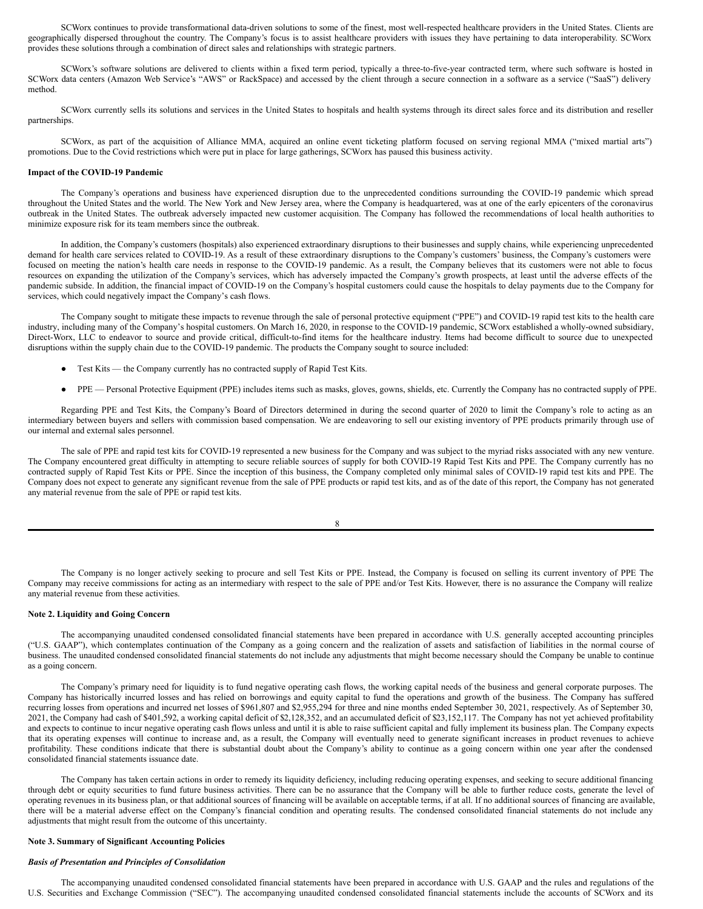SCWorx continues to provide transformational data-driven solutions to some of the finest, most well-respected healthcare providers in the United States. Clients are geographically dispersed throughout the country. The Company's focus is to assist healthcare providers with issues they have pertaining to data interoperability. SCWorx provides these solutions through a combination of direct sales and relationships with strategic partners.

SCWorx's software solutions are delivered to clients within a fixed term period, typically a three-to-five-year contracted term, where such software is hosted in SCWorx data centers (Amazon Web Service's "AWS" or RackSpace) and accessed by the client through a secure connection in a software as a service ("SaaS") delivery method.

SCWorx currently sells its solutions and services in the United States to hospitals and health systems through its direct sales force and its distribution and reseller partnerships.

SCWorx, as part of the acquisition of Alliance MMA, acquired an online event ticketing platform focused on serving regional MMA ("mixed martial arts") promotions. Due to the Covid restrictions which were put in place for large gatherings, SCWorx has paused this business activity.

# **Impact of the COVID-19 Pandemic**

The Company's operations and business have experienced disruption due to the unprecedented conditions surrounding the COVID-19 pandemic which spread throughout the United States and the world. The New York and New Jersey area, where the Company is headquartered, was at one of the early epicenters of the coronavirus outbreak in the United States. The outbreak adversely impacted new customer acquisition. The Company has followed the recommendations of local health authorities to minimize exposure risk for its team members since the outbreak.

In addition, the Company's customers (hospitals) also experienced extraordinary disruptions to their businesses and supply chains, while experiencing unprecedented demand for health care services related to COVID-19. As a result of these extraordinary disruptions to the Company's customers' business, the Company's customers were focused on meeting the nation's health care needs in response to the COVID-19 pandemic. As a result, the Company believes that its customers were not able to focus resources on expanding the utilization of the Company's services, which has adversely impacted the Company's growth prospects, at least until the adverse effects of the pandemic subside. In addition, the financial impact of COVID-19 on the Company's hospital customers could cause the hospitals to delay payments due to the Company for services, which could negatively impact the Company's cash flows.

The Company sought to mitigate these impacts to revenue through the sale of personal protective equipment ("PPE") and COVID-19 rapid test kits to the health care industry, including many of the Company's hospital customers. On March 16, 2020, in response to the COVID-19 pandemic, SCWorx established a wholly-owned subsidiary, Direct-Worx, LLC to endeavor to source and provide critical, difficult-to-find items for the healthcare industry. Items had become difficult to source due to unexpected disruptions within the supply chain due to the COVID-19 pandemic. The products the Company sought to source included:

- Test Kits the Company currently has no contracted supply of Rapid Test Kits.
- PPE Personal Protective Equipment (PPE) includes items such as masks, gloves, gowns, shields, etc. Currently the Company has no contracted supply of PPE.

Regarding PPE and Test Kits, the Company's Board of Directors determined in during the second quarter of 2020 to limit the Company's role to acting as an intermediary between buyers and sellers with commission based compensation. We are endeavoring to sell our existing inventory of PPE products primarily through use of our internal and external sales personnel.

The sale of PPE and rapid test kits for COVID-19 represented a new business for the Company and was subject to the myriad risks associated with any new venture. The Company encountered great difficulty in attempting to secure reliable sources of supply for both COVID-19 Rapid Test Kits and PPE. The Company currently has no contracted supply of Rapid Test Kits or PPE. Since the inception of this business, the Company completed only minimal sales of COVID-19 rapid test kits and PPE. The Company does not expect to generate any significant revenue from the sale of PPE products or rapid test kits, and as of the date of this report, the Company has not generated any material revenue from the sale of PPE or rapid test kits.

8

The Company is no longer actively seeking to procure and sell Test Kits or PPE. Instead, the Company is focused on selling its current inventory of PPE The Company may receive commissions for acting as an intermediary with respect to the sale of PPE and/or Test Kits. However, there is no assurance the Company will realize any material revenue from these activities.

# **Note 2. Liquidity and Going Concern**

The accompanying unaudited condensed consolidated financial statements have been prepared in accordance with U.S. generally accepted accounting principles ("U.S. GAAP"), which contemplates continuation of the Company as a going concern and the realization of assets and satisfaction of liabilities in the normal course of business. The unaudited condensed consolidated financial statements do not include any adjustments that might become necessary should the Company be unable to continue as a going concern.

The Company's primary need for liquidity is to fund negative operating cash flows, the working capital needs of the business and general corporate purposes. The Company has historically incurred losses and has relied on borrowings and equity capital to fund the operations and growth of the business. The Company has suffered recurring losses from operations and incurred net losses of \$961,807 and \$2,955,294 for three and nine months ended September 30, 2021, respectively. As of September 30, 2021, the Company had cash of \$401,592, a working capital deficit of \$2,128,352, and an accumulated deficit of \$23,152,117. The Company has not yet achieved profitability and expects to continue to incur negative operating cash flows unless and until it is able to raise sufficient capital and fully implement its business plan. The Company expects that its operating expenses will continue to increase and, as a result, the Company will eventually need to generate significant increases in product revenues to achieve profitability. These conditions indicate that there is substantial doubt about the Company's ability to continue as a going concern within one year after the condensed consolidated financial statements issuance date.

The Company has taken certain actions in order to remedy its liquidity deficiency, including reducing operating expenses, and seeking to secure additional financing through debt or equity securities to fund future business activities. There can be no assurance that the Company will be able to further reduce costs, generate the level of operating revenues in its business plan, or that additional sources of financing will be available on acceptable terms, if at all. If no additional sources of financing are available, there will be a material adverse effect on the Company's financial condition and operating results. The condensed consolidated financial statements do not include any adjustments that might result from the outcome of this uncertainty.

# **Note 3. Summary of Significant Accounting Policies**

# *Basis of Presentation and Principles of Consolidation*

The accompanying unaudited condensed consolidated financial statements have been prepared in accordance with U.S. GAAP and the rules and regulations of the U.S. Securities and Exchange Commission ("SEC"). The accompanying unaudited condensed consolidated financial statements include the accounts of SCWorx and its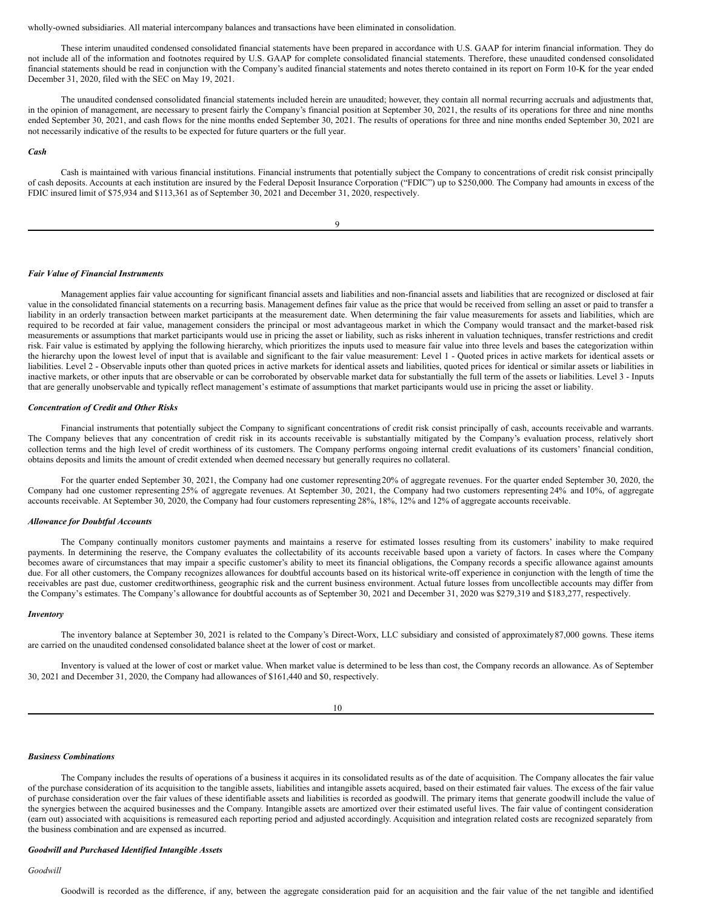wholly-owned subsidiaries. All material intercompany balances and transactions have been eliminated in consolidation.

These interim unaudited condensed consolidated financial statements have been prepared in accordance with U.S. GAAP for interim financial information. They do not include all of the information and footnotes required by U.S. GAAP for complete consolidated financial statements. Therefore, these unaudited condensed consolidated financial statements should be read in conjunction with the Company's audited financial statements and notes thereto contained in its report on Form 10-K for the year ended December 31, 2020, filed with the SEC on May 19, 2021.

The unaudited condensed consolidated financial statements included herein are unaudited; however, they contain all normal recurring accruals and adjustments that, in the opinion of management, are necessary to present fairly the Company's financial position at September 30, 2021, the results of its operations for three and nine months ended September 30, 2021, and cash flows for the nine months ended September 30, 2021. The results of operations for three and nine months ended September 30, 2021 are not necessarily indicative of the results to be expected for future quarters or the full year.

*Cash*

Cash is maintained with various financial institutions. Financial instruments that potentially subject the Company to concentrations of credit risk consist principally of cash deposits. Accounts at each institution are insured by the Federal Deposit Insurance Corporation ("FDIC") up to \$250,000. The Company had amounts in excess of the FDIC insured limit of \$75,934 and \$113,361 as of September 30, 2021 and December 31, 2020, respectively.

### *Fair Value of Financial Instruments*

Management applies fair value accounting for significant financial assets and liabilities and non-financial assets and liabilities that are recognized or disclosed at fair value in the consolidated financial statements on a recurring basis. Management defines fair value as the price that would be received from selling an asset or paid to transfer a liability in an orderly transaction between market participants at the measurement date. When determining the fair value measurements for assets and liabilities, which are required to be recorded at fair value, management considers the principal or most advantageous market in which the Company would transact and the market-based risk measurements or assumptions that market participants would use in pricing the asset or liability, such as risks inherent in valuation techniques, transfer restrictions and credit risk. Fair value is estimated by applying the following hierarchy, which prioritizes the inputs used to measure fair value into three levels and bases the categorization within the hierarchy upon the lowest level of input that is available and significant to the fair value measurement: Level 1 - Quoted prices in active markets for identical assets or liabilities. Level 2 - Observable inputs other than quoted prices in active markets for identical assets and liabilities, quoted prices for identical or similar assets or liabilities in inactive markets, or other inputs that are observable or can be corroborated by observable market data for substantially the full term of the assets or liabilities. Level 3 - Inputs that are generally unobservable and typically reflect management's estimate of assumptions that market participants would use in pricing the asset or liability.

### *Concentration of Credit and Other Risks*

Financial instruments that potentially subject the Company to significant concentrations of credit risk consist principally of cash, accounts receivable and warrants. The Company believes that any concentration of credit risk in its accounts receivable is substantially mitigated by the Company's evaluation process, relatively short collection terms and the high level of credit worthiness of its customers. The Company performs ongoing internal credit evaluations of its customers' financial condition, obtains deposits and limits the amount of credit extended when deemed necessary but generally requires no collateral.

For the quarter ended September 30, 2021, the Company had one customer representing20% of aggregate revenues. For the quarter ended September 30, 2020, the Company had one customer representing 25% of aggregate revenues. At September 30, 2021, the Company had two customers representing 24% and 10%, of aggregate accounts receivable. At September 30, 2020, the Company had four customers representing 28%, 18%, 12% and 12% of aggregate accounts receivable.

### *Allowance for Doubtful Accounts*

The Company continually monitors customer payments and maintains a reserve for estimated losses resulting from its customers' inability to make required payments. In determining the reserve, the Company evaluates the collectability of its accounts receivable based upon a variety of factors. In cases where the Company becomes aware of circumstances that may impair a specific customer's ability to meet its financial obligations, the Company records a specific allowance against amounts due. For all other customers, the Company recognizes allowances for doubtful accounts based on its historical write-off experience in conjunction with the length of time the receivables are past due, customer creditworthiness, geographic risk and the current business environment. Actual future losses from uncollectible accounts may differ from the Company's estimates. The Company's allowance for doubtful accounts as of September 30, 2021 and December 31, 2020 was \$279,319 and \$183,277, respectively.

#### *Inventory*

The inventory balance at September 30, 2021 is related to the Company's Direct-Worx, LLC subsidiary and consisted of approximately87,000 gowns. These items are carried on the unaudited condensed consolidated balance sheet at the lower of cost or market.

Inventory is valued at the lower of cost or market value. When market value is determined to be less than cost, the Company records an allowance. As of September 30, 2021 and December 31, 2020, the Company had allowances of \$161,440 and \$0, respectively.

10

### *Business Combinations*

The Company includes the results of operations of a business it acquires in its consolidated results as of the date of acquisition. The Company allocates the fair value of the purchase consideration of its acquisition to the tangible assets, liabilities and intangible assets acquired, based on their estimated fair values. The excess of the fair value of purchase consideration over the fair values of these identifiable assets and liabilities is recorded as goodwill. The primary items that generate goodwill include the value of the synergies between the acquired businesses and the Company. Intangible assets are amortized over their estimated useful lives. The fair value of contingent consideration (earn out) associated with acquisitions is remeasured each reporting period and adjusted accordingly. Acquisition and integration related costs are recognized separately from the business combination and are expensed as incurred.

# *Goodwill and Purchased Identified Intangible Assets*

*Goodwill*

Goodwill is recorded as the difference, if any, between the aggregate consideration paid for an acquisition and the fair value of the net tangible and identified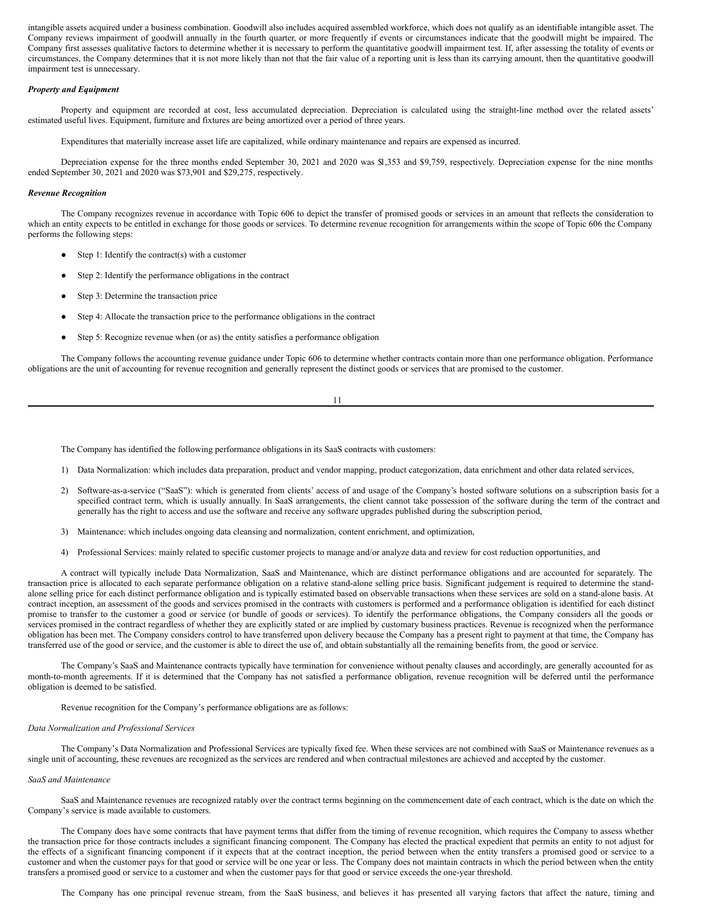intangible assets acquired under a business combination. Goodwill also includes acquired assembled workforce, which does not qualify as an identifiable intangible asset. The Company reviews impairment of goodwill annually in the fourth quarter, or more frequently if events or circumstances indicate that the goodwill might be impaired. The Company first assesses qualitative factors to determine whether it is necessary to perform the quantitative goodwill impairment test. If, after assessing the totality of events or circumstances, the Company determines that it is not more likely than not that the fair value of a reporting unit is less than its carrying amount, then the quantitative goodwill impairment test is unnecessary.

## *Property and Equipment*

Property and equipment are recorded at cost, less accumulated depreciation. Depreciation is calculated using the straight-line method over the related assets' estimated useful lives. Equipment, furniture and fixtures are being amortized over a period of three years.

Expenditures that materially increase asset life are capitalized, while ordinary maintenance and repairs are expensed as incurred.

Depreciation expense for the three months ended September 30, 2021 and 2020 was \$1,353 and \$9,759, respectively. Depreciation expense for the nine months ended September 30, 2021 and 2020 was \$73,901 and \$29,275, respectively.

## *Revenue Recognition*

The Company recognizes revenue in accordance with Topic 606 to depict the transfer of promised goods or services in an amount that reflects the consideration to which an entity expects to be entitled in exchange for those goods or services. To determine revenue recognition for arrangements within the scope of Topic 606 the Company performs the following steps:

- Step 1: Identify the contract(s) with a customer
- Step 2: Identify the performance obligations in the contract
- Step 3: Determine the transaction price
- Step 4: Allocate the transaction price to the performance obligations in the contract
- Step 5: Recognize revenue when (or as) the entity satisfies a performance obligation

The Company follows the accounting revenue guidance under Topic 606 to determine whether contracts contain more than one performance obligation. Performance obligations are the unit of accounting for revenue recognition and generally represent the distinct goods or services that are promised to the customer.

11

The Company has identified the following performance obligations in its SaaS contracts with customers:

- 1) Data Normalization: which includes data preparation, product and vendor mapping, product categorization, data enrichment and other data related services,
- 2) Software-as-a-service ("SaaS"): which is generated from clients' access of and usage of the Company's hosted software solutions on a subscription basis for a specified contract term, which is usually annually. In SaaS arrangements, the client cannot take possession of the software during the term of the contract and generally has the right to access and use the software and receive any software upgrades published during the subscription period,
- 3) Maintenance: which includes ongoing data cleansing and normalization, content enrichment, and optimization,
- 4) Professional Services: mainly related to specific customer projects to manage and/or analyze data and review for cost reduction opportunities, and

A contract will typically include Data Normalization, SaaS and Maintenance, which are distinct performance obligations and are accounted for separately. The transaction price is allocated to each separate performance obligation on a relative stand-alone selling price basis. Significant judgement is required to determine the standalone selling price for each distinct performance obligation and is typically estimated based on observable transactions when these services are sold on a stand-alone basis. At contract inception, an assessment of the goods and services promised in the contracts with customers is performed and a performance obligation is identified for each distinct promise to transfer to the customer a good or service (or bundle of goods or services). To identify the performance obligations, the Company considers all the goods or services promised in the contract regardless of whether they are explicitly stated or are implied by customary business practices. Revenue is recognized when the performance obligation has been met. The Company considers control to have transferred upon delivery because the Company has a present right to payment at that time, the Company has transferred use of the good or service, and the customer is able to direct the use of, and obtain substantially all the remaining benefits from, the good or service.

The Company's SaaS and Maintenance contracts typically have termination for convenience without penalty clauses and accordingly, are generally accounted for as month-to-month agreements. If it is determined that the Company has not satisfied a performance obligation, revenue recognition will be deferred until the performance obligation is deemed to be satisfied.

Revenue recognition for the Company's performance obligations are as follows:

#### *Data Normalization and Professional Services*

The Company's Data Normalization and Professional Services are typically fixed fee. When these services are not combined with SaaS or Maintenance revenues as a single unit of accounting, these revenues are recognized as the services are rendered and when contractual milestones are achieved and accepted by the customer.

# *SaaS and Maintenance*

SaaS and Maintenance revenues are recognized ratably over the contract terms beginning on the commencement date of each contract, which is the date on which the Company's service is made available to customers.

The Company does have some contracts that have payment terms that differ from the timing of revenue recognition, which requires the Company to assess whether the transaction price for those contracts includes a significant financing component. The Company has elected the practical expedient that permits an entity to not adjust for the effects of a significant financing component if it expects that at the contract inception, the period between when the entity transfers a promised good or service to a customer and when the customer pays for that good or service will be one year or less. The Company does not maintain contracts in which the period between when the entity transfers a promised good or service to a customer and when the customer pays for that good or service exceeds the one-year threshold.

The Company has one principal revenue stream, from the SaaS business, and believes it has presented all varying factors that affect the nature, timing and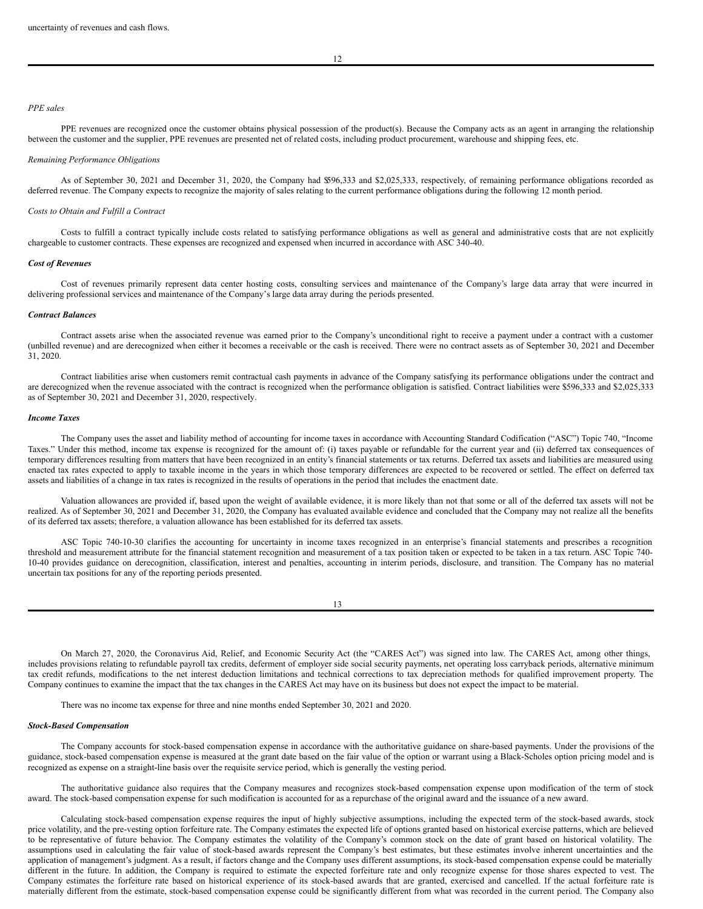## *PPE sales*

PPE revenues are recognized once the customer obtains physical possession of the product(s). Because the Company acts as an agent in arranging the relationship between the customer and the supplier, PPE revenues are presented net of related costs, including product procurement, warehouse and shipping fees, etc.

### *Remaining Performance Obligations*

As of September 30, 2021 and December 31, 2020, the Company had \$596,333 and \$2,025,333, respectively, of remaining performance obligations recorded as deferred revenue. The Company expects to recognize the majority of sales relating to the current performance obligations during the following 12 month period.

#### *Costs to Obtain and Fulfill a Contract*

Costs to fulfill a contract typically include costs related to satisfying performance obligations as well as general and administrative costs that are not explicitly chargeable to customer contracts. These expenses are recognized and expensed when incurred in accordance with ASC 340-40.

# *Cost of Revenues*

Cost of revenues primarily represent data center hosting costs, consulting services and maintenance of the Company's large data array that were incurred in delivering professional services and maintenance of the Company's large data array during the periods presented.

# *Contract Balances*

Contract assets arise when the associated revenue was earned prior to the Company's unconditional right to receive a payment under a contract with a customer (unbilled revenue) and are derecognized when either it becomes a receivable or the cash is received. There were no contract assets as of September 30, 2021 and December 31, 2020.

Contract liabilities arise when customers remit contractual cash payments in advance of the Company satisfying its performance obligations under the contract and are derecognized when the revenue associated with the contract is recognized when the performance obligation is satisfied. Contract liabilities were \$596,333 and \$2,025,333 as of September 30, 2021 and December 31, 2020, respectively.

## *Income Taxes*

The Company uses the asset and liability method of accounting for income taxes in accordance with Accounting Standard Codification ("ASC") Topic 740, "Income Taxes." Under this method, income tax expense is recognized for the amount of: (i) taxes payable or refundable for the current year and (ii) deferred tax consequences of temporary differences resulting from matters that have been recognized in an entity's financial statements or tax returns. Deferred tax assets and liabilities are measured using enacted tax rates expected to apply to taxable income in the years in which those temporary differences are expected to be recovered or settled. The effect on deferred tax assets and liabilities of a change in tax rates is recognized in the results of operations in the period that includes the enactment date.

Valuation allowances are provided if, based upon the weight of available evidence, it is more likely than not that some or all of the deferred tax assets will not be realized. As of September 30, 2021 and December 31, 2020, the Company has evaluated available evidence and concluded that the Company may not realize all the benefits of its deferred tax assets; therefore, a valuation allowance has been established for its deferred tax assets.

ASC Topic 740-10-30 clarifies the accounting for uncertainty in income taxes recognized in an enterprise's financial statements and prescribes a recognition threshold and measurement attribute for the financial statement recognition and measurement of a tax position taken or expected to be taken in a tax return. ASC Topic 740- 10-40 provides guidance on derecognition, classification, interest and penalties, accounting in interim periods, disclosure, and transition. The Company has no material uncertain tax positions for any of the reporting periods presented.

| I           |  |
|-------------|--|
| I<br>$\sim$ |  |

On March 27, 2020, the Coronavirus Aid, Relief, and Economic Security Act (the "CARES Act") was signed into law. The CARES Act, among other things, includes provisions relating to refundable payroll tax credits, deferment of employer side social security payments, net operating loss carryback periods, alternative minimum tax credit refunds, modifications to the net interest deduction limitations and technical corrections to tax depreciation methods for qualified improvement property. The Company continues to examine the impact that the tax changes in the CARES Act may have on its business but does not expect the impact to be material.

There was no income tax expense for three and nine months ended September 30, 2021 and 2020.

# *Stock-Based Compensation*

The Company accounts for stock-based compensation expense in accordance with the authoritative guidance on share-based payments. Under the provisions of the guidance, stock-based compensation expense is measured at the grant date based on the fair value of the option or warrant using a Black-Scholes option pricing model and is recognized as expense on a straight-line basis over the requisite service period, which is generally the vesting period.

The authoritative guidance also requires that the Company measures and recognizes stock-based compensation expense upon modification of the term of stock award. The stock-based compensation expense for such modification is accounted for as a repurchase of the original award and the issuance of a new award.

Calculating stock-based compensation expense requires the input of highly subjective assumptions, including the expected term of the stock-based awards, stock price volatility, and the pre-vesting option forfeiture rate. The Company estimates the expected life of options granted based on historical exercise patterns, which are believed to be representative of future behavior. The Company estimates the volatility of the Company's common stock on the date of grant based on historical volatility. The assumptions used in calculating the fair value of stock-based awards represent the Company's best estimates, but these estimates involve inherent uncertainties and the application of management's judgment. As a result, if factors change and the Company uses different assumptions, its stock-based compensation expense could be materially different in the future. In addition, the Company is required to estimate the expected forfeiture rate and only recognize expense for those shares expected to vest. The Company estimates the forfeiture rate based on historical experience of its stock-based awards that are granted, exercised and cancelled. If the actual forfeiture rate is materially different from the estimate, stock-based compensation expense could be significantly different from what was recorded in the current period. The Company also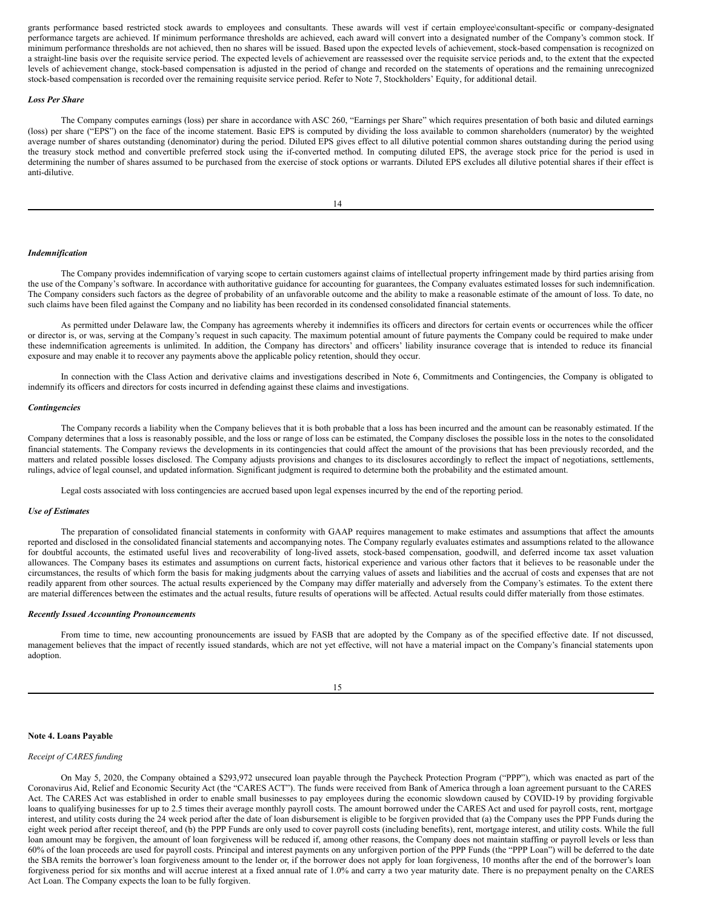grants performance based restricted stock awards to employees and consultants. These awards will vest if certain employee\consultant-specific or company-designated performance targets are achieved. If minimum performance thresholds are achieved, each award will convert into a designated number of the Company's common stock. If minimum performance thresholds are not achieved, then no shares will be issued. Based upon the expected levels of achievement, stock-based compensation is recognized on a straight-line basis over the requisite service period. The expected levels of achievement are reassessed over the requisite service periods and, to the extent that the expected levels of achievement change, stock-based compensation is adjusted in the period of change and recorded on the statements of operations and the remaining unrecognized stock-based compensation is recorded over the remaining requisite service period. Refer to Note 7, Stockholders' Equity, for additional detail.

# *Loss Per Share*

The Company computes earnings (loss) per share in accordance with ASC 260, "Earnings per Share" which requires presentation of both basic and diluted earnings (loss) per share ("EPS") on the face of the income statement. Basic EPS is computed by dividing the loss available to common shareholders (numerator) by the weighted average number of shares outstanding (denominator) during the period. Diluted EPS gives effect to all dilutive potential common shares outstanding during the period using the treasury stock method and convertible preferred stock using the if-converted method. In computing diluted EPS, the average stock price for the period is used in determining the number of shares assumed to be purchased from the exercise of stock options or warrants. Diluted EPS excludes all dilutive potential shares if their effect is anti-dilutive.

### *Indemnification*

The Company provides indemnification of varying scope to certain customers against claims of intellectual property infringement made by third parties arising from the use of the Company's software. In accordance with authoritative guidance for accounting for guarantees, the Company evaluates estimated losses for such indemnification. The Company considers such factors as the degree of probability of an unfavorable outcome and the ability to make a reasonable estimate of the amount of loss. To date, no such claims have been filed against the Company and no liability has been recorded in its condensed consolidated financial statements.

As permitted under Delaware law, the Company has agreements whereby it indemnifies its officers and directors for certain events or occurrences while the officer or director is, or was, serving at the Company's request in such capacity. The maximum potential amount of future payments the Company could be required to make under these indemnification agreements is unlimited. In addition, the Company has directors' and officers' liability insurance coverage that is intended to reduce its financial exposure and may enable it to recover any payments above the applicable policy retention, should they occur.

In connection with the Class Action and derivative claims and investigations described in Note 6, Commitments and Contingencies, the Company is obligated to indemnify its officers and directors for costs incurred in defending against these claims and investigations.

### *Contingencies*

The Company records a liability when the Company believes that it is both probable that a loss has been incurred and the amount can be reasonably estimated. If the Company determines that a loss is reasonably possible, and the loss or range of loss can be estimated, the Company discloses the possible loss in the notes to the consolidated financial statements. The Company reviews the developments in its contingencies that could affect the amount of the provisions that has been previously recorded, and the matters and related possible losses disclosed. The Company adjusts provisions and changes to its disclosures accordingly to reflect the impact of negotiations, settlements, rulings, advice of legal counsel, and updated information. Significant judgment is required to determine both the probability and the estimated amount.

Legal costs associated with loss contingencies are accrued based upon legal expenses incurred by the end of the reporting period.

# *Use of Estimates*

The preparation of consolidated financial statements in conformity with GAAP requires management to make estimates and assumptions that affect the amounts reported and disclosed in the consolidated financial statements and accompanying notes. The Company regularly evaluates estimates and assumptions related to the allowance for doubtful accounts, the estimated useful lives and recoverability of long-lived assets, stock-based compensation, goodwill, and deferred income tax asset valuation allowances. The Company bases its estimates and assumptions on current facts, historical experience and various other factors that it believes to be reasonable under the circumstances, the results of which form the basis for making judgments about the carrying values of assets and liabilities and the accrual of costs and expenses that are not readily apparent from other sources. The actual results experienced by the Company may differ materially and adversely from the Company's estimates. To the extent there are material differences between the estimates and the actual results, future results of operations will be affected. Actual results could differ materially from those estimates.

#### *Recently Issued Accounting Pronouncements*

From time to time, new accounting pronouncements are issued by FASB that are adopted by the Company as of the specified effective date. If not discussed, management believes that the impact of recently issued standards, which are not yet effective, will not have a material impact on the Company's financial statements upon adoption.

15

# **Note 4. Loans Payable**

# *Receipt of CARES funding*

On May 5, 2020, the Company obtained a \$293,972 unsecured loan payable through the Paycheck Protection Program ("PPP"), which was enacted as part of the Coronavirus Aid, Relief and Economic Security Act (the "CARES ACT"). The funds were received from Bank of America through a loan agreement pursuant to the CARES Act. The CARES Act was established in order to enable small businesses to pay employees during the economic slowdown caused by COVID-19 by providing forgivable loans to qualifying businesses for up to 2.5 times their average monthly payroll costs. The amount borrowed under the CARES Act and used for payroll costs, rent, mortgage interest, and utility costs during the 24 week period after the date of loan disbursement is eligible to be forgiven provided that (a) the Company uses the PPP Funds during the eight week period after receipt thereof, and (b) the PPP Funds are only used to cover payroll costs (including benefits), rent, mortgage interest, and utility costs. While the full loan amount may be forgiven, the amount of loan forgiveness will be reduced if, among other reasons, the Company does not maintain staffing or payroll levels or less than 60% of the loan proceeds are used for payroll costs. Principal and interest payments on any unforgiven portion of the PPP Funds (the "PPP Loan") will be deferred to the date the SBA remits the borrower's loan forgiveness amount to the lender or, if the borrower does not apply for loan forgiveness, 10 months after the end of the borrower's loan forgiveness period for six months and will accrue interest at a fixed annual rate of 1.0% and carry a two year maturity date. There is no prepayment penalty on the CARES Act Loan. The Company expects the loan to be fully forgiven.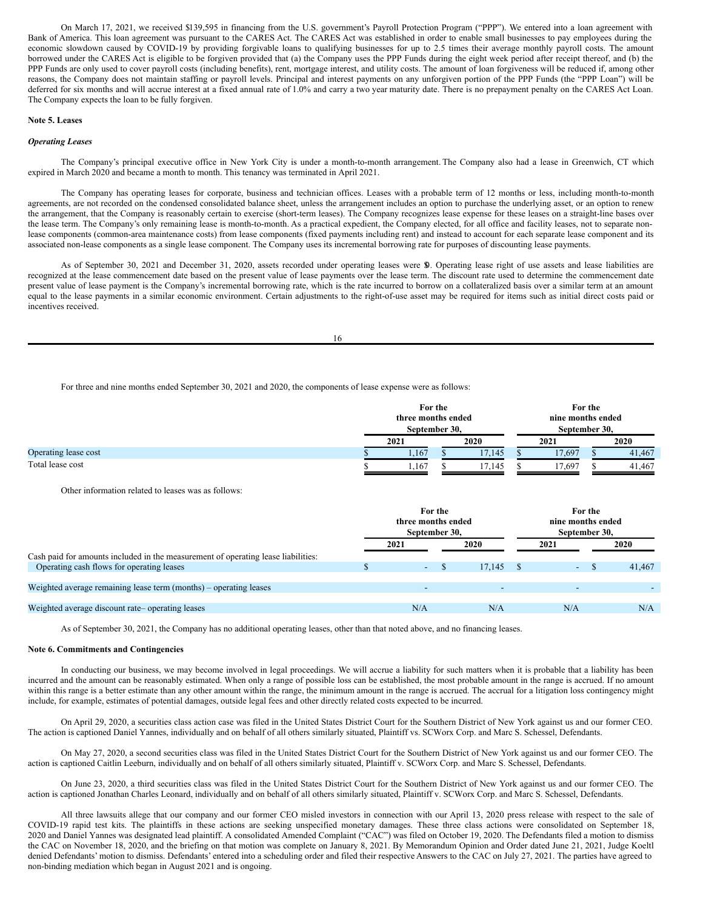On March 17, 2021, we received \$139,595 in financing from the U.S. government's Payroll Protection Program ("PPP"). We entered into a loan agreement with Bank of America. This loan agreement was pursuant to the CARES Act. The CARES Act was established in order to enable small businesses to pay employees during the economic slowdown caused by COVID-19 by providing forgivable loans to qualifying businesses for up to 2.5 times their average monthly payroll costs. The amount borrowed under the CARES Act is eligible to be forgiven provided that (a) the Company uses the PPP Funds during the eight week period after receipt thereof, and (b) the PPP Funds are only used to cover payroll costs (including benefits), rent, mortgage interest, and utility costs. The amount of loan forgiveness will be reduced if, among other reasons, the Company does not maintain staffing or payroll levels. Principal and interest payments on any unforgiven portion of the PPP Funds (the "PPP Loan") will be deferred for six months and will accrue interest at a fixed annual rate of 1.0% and carry a two year maturity date. There is no prepayment penalty on the CARES Act Loan. The Company expects the loan to be fully forgiven.

## **Note 5. Leases**

## *Operating Leases*

The Company's principal executive office in New York City is under a month-to-month arrangement. The Company also had a lease in Greenwich, CT which expired in March 2020 and became a month to month. This tenancy was terminated in April 2021.

The Company has operating leases for corporate, business and technician offices. Leases with a probable term of 12 months or less, including month-to-month agreements, are not recorded on the condensed consolidated balance sheet, unless the arrangement includes an option to purchase the underlying asset, or an option to renew the arrangement, that the Company is reasonably certain to exercise (short-term leases). The Company recognizes lease expense for these leases on a straight-line bases over the lease term. The Company's only remaining lease is month-to-month. As a practical expedient, the Company elected, for all office and facility leases, not to separate nonlease components (common-area maintenance costs) from lease components (fixed payments including rent) and instead to account for each separate lease component and its associated non-lease components as a single lease component. The Company uses its incremental borrowing rate for purposes of discounting lease payments.

As of September 30, 2021 and December 31, 2020, assets recorded under operating leases were \$0. Operating lease right of use assets and lease liabilities are recognized at the lease commencement date based on the present value of lease payments over the lease term. The discount rate used to determine the commencement date present value of lease payment is the Company's incremental borrowing rate, which is the rate incurred to borrow on a collateralized basis over a similar term at an amount equal to the lease payments in a similar economic environment. Certain adjustments to the right-of-use asset may be required for items such as initial direct costs paid or incentives received.

16

For three and nine months ended September 30, 2021 and 2020, the components of lease expense were as follows:

|                      | For the<br>three months ended<br>September 30, |        | For the<br>nine months ended<br>September 30. |  |        |
|----------------------|------------------------------------------------|--------|-----------------------------------------------|--|--------|
|                      | 2021                                           | 2020   | 2021                                          |  | 2020   |
| Operating lease cost | 1,167                                          | 17.145 | 17,697                                        |  | 41,467 |
| Total lease cost     | 1.167                                          | 17.145 | 17.697                                        |  | 41,467 |

Other information related to leases was as follows:

|                                                                                   | For the<br>three months ended<br>September 30, |        |          |        | nine months ended<br>September 30, |        |  |        |
|-----------------------------------------------------------------------------------|------------------------------------------------|--------|----------|--------|------------------------------------|--------|--|--------|
|                                                                                   | 2021                                           |        |          | 2020   |                                    | 2021   |  | 2020   |
| Cash paid for amounts included in the measurement of operating lease liabilities: |                                                |        |          |        |                                    |        |  |        |
| Operating cash flows for operating leases                                         |                                                | $\sim$ | <b>S</b> | 17.145 |                                    | $\sim$ |  | 41.467 |
|                                                                                   |                                                |        |          |        |                                    |        |  |        |
| Weighted average remaining lease term (months) – operating leases                 |                                                |        |          |        |                                    |        |  |        |
|                                                                                   |                                                |        |          |        |                                    |        |  |        |
| Weighted average discount rate – operating leases                                 |                                                | N/A    |          | N/A    |                                    | N/A    |  | N/A    |

As of September 30, 2021, the Company has no additional operating leases, other than that noted above, and no financing leases.

# **Note 6. Commitments and Contingencies**

In conducting our business, we may become involved in legal proceedings. We will accrue a liability for such matters when it is probable that a liability has been incurred and the amount can be reasonably estimated. When only a range of possible loss can be established, the most probable amount in the range is accrued. If no amount within this range is a better estimate than any other amount within the range, the minimum amount in the range is accrued. The accrual for a litigation loss contingency might include, for example, estimates of potential damages, outside legal fees and other directly related costs expected to be incurred.

On April 29, 2020, a securities class action case was filed in the United States District Court for the Southern District of New York against us and our former CEO. The action is captioned Daniel Yannes, individually and on behalf of all others similarly situated, Plaintiff vs. SCWorx Corp. and Marc S. Schessel, Defendants.

On May 27, 2020, a second securities class was filed in the United States District Court for the Southern District of New York against us and our former CEO. The action is captioned Caitlin Leeburn, individually and on behalf of all others similarly situated, Plaintiff v. SCWorx Corp. and Marc S. Schessel, Defendants.

On June 23, 2020, a third securities class was filed in the United States District Court for the Southern District of New York against us and our former CEO. The action is captioned Jonathan Charles Leonard, individually and on behalf of all others similarly situated, Plaintiff v. SCWorx Corp. and Marc S. Schessel, Defendants.

All three lawsuits allege that our company and our former CEO misled investors in connection with our April 13, 2020 press release with respect to the sale of COVID-19 rapid test kits. The plaintiffs in these actions are seeking unspecified monetary damages. These three class actions were consolidated on September 18, 2020 and Daniel Yannes was designated lead plaintiff. A consolidated Amended Complaint ("CAC") was filed on October 19, 2020. The Defendants filed a motion to dismiss the CAC on November 18, 2020, and the briefing on that motion was complete on January 8, 2021. By Memorandum Opinion and Order dated June 21, 2021, Judge Koeltl denied Defendants' motion to dismiss. Defendants' entered into a scheduling order and filed their respective Answers to the CAC on July 27, 2021. The parties have agreed to non-binding mediation which began in August 2021 and is ongoing.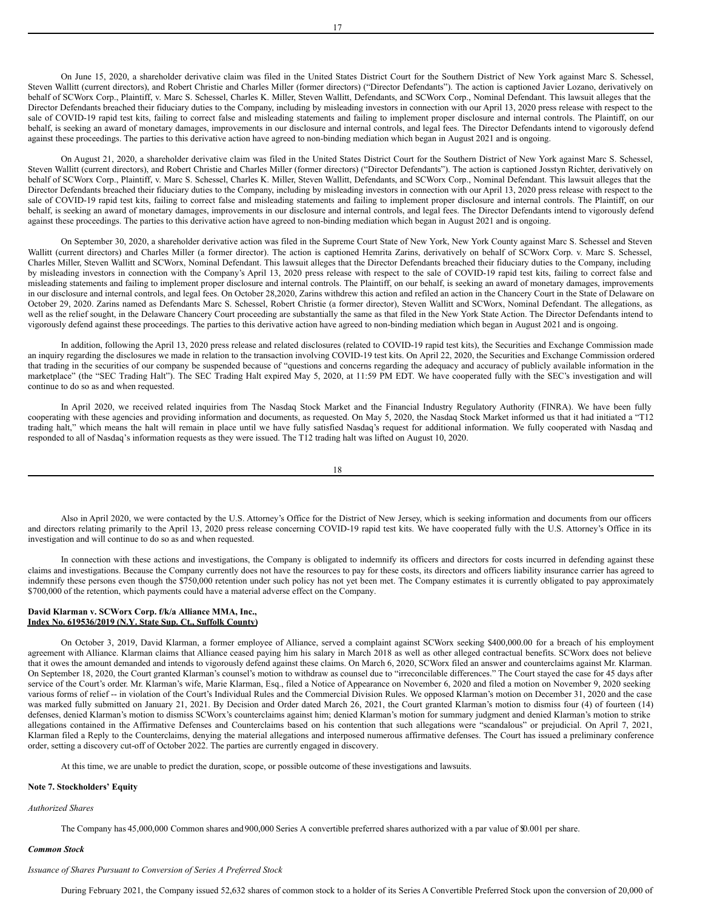On August 21, 2020, a shareholder derivative claim was filed in the United States District Court for the Southern District of New York against Marc S. Schessel, Steven Wallitt (current directors), and Robert Christie and Charles Miller (former directors) ("Director Defendants"). The action is captioned Josstyn Richter, derivatively on behalf of SCWorx Corp., Plaintiff, v. Marc S. Schessel, Charles K. Miller, Steven Wallitt, Defendants, and SCWorx Corp., Nominal Defendant. This lawsuit alleges that the Director Defendants breached their fiduciary duties to the Company, including by misleading investors in connection with our April 13, 2020 press release with respect to the sale of COVID-19 rapid test kits, failing to correct false and misleading statements and failing to implement proper disclosure and internal controls. The Plaintiff, on our behalf, is seeking an award of monetary damages, improvements in our disclosure and internal controls, and legal fees. The Director Defendants intend to vigorously defend against these proceedings. The parties to this derivative action have agreed to non-binding mediation which began in August 2021 and is ongoing.

On September 30, 2020, a shareholder derivative action was filed in the Supreme Court State of New York, New York County against Marc S. Schessel and Steven Wallitt (current directors) and Charles Miller (a former director). The action is captioned Hemrita Zarins, derivatively on behalf of SCWorx Corp. v. Marc S. Schessel, Charles Miller, Steven Wallitt and SCWorx, Nominal Defendant. This lawsuit alleges that the Director Defendants breached their fiduciary duties to the Company, including by misleading investors in connection with the Company's April 13, 2020 press release with respect to the sale of COVID-19 rapid test kits, failing to correct false and misleading statements and failing to implement proper disclosure and internal controls. The Plaintiff, on our behalf, is seeking an award of monetary damages, improvements in our disclosure and internal controls, and legal fees. On October 28,2020, Zarins withdrew this action and refiled an action in the Chancery Court in the State of Delaware on October 29, 2020. Zarins named as Defendants Marc S. Schessel, Robert Christie (a former director), Steven Wallitt and SCWorx, Nominal Defendant. The allegations, as well as the relief sought, in the Delaware Chancery Court proceeding are substantially the same as that filed in the New York State Action. The Director Defendants intend to vigorously defend against these proceedings. The parties to this derivative action have agreed to non-binding mediation which began in August 2021 and is ongoing.

In addition, following the April 13, 2020 press release and related disclosures (related to COVID-19 rapid test kits), the Securities and Exchange Commission made an inquiry regarding the disclosures we made in relation to the transaction involving COVID-19 test kits. On April 22, 2020, the Securities and Exchange Commission ordered that trading in the securities of our company be suspended because of "questions and concerns regarding the adequacy and accuracy of publicly available information in the marketplace" (the "SEC Trading Halt"). The SEC Trading Halt expired May 5, 2020, at 11:59 PM EDT. We have cooperated fully with the SEC's investigation and will continue to do so as and when requested.

In April 2020, we received related inquiries from The Nasdaq Stock Market and the Financial Industry Regulatory Authority (FINRA). We have been fully cooperating with these agencies and providing information and documents, as requested. On May 5, 2020, the Nasdaq Stock Market informed us that it had initiated a "T12 trading halt," which means the halt will remain in place until we have fully satisfied Nasdaq's request for additional information. We fully cooperated with Nasdaq and responded to all of Nasdaq's information requests as they were issued. The T12 trading halt was lifted on August 10, 2020.

18

Also in April 2020, we were contacted by the U.S. Attorney's Office for the District of New Jersey, which is seeking information and documents from our officers and directors relating primarily to the April 13, 2020 press release concerning COVID-19 rapid test kits. We have cooperated fully with the U.S. Attorney's Office in its investigation and will continue to do so as and when requested.

In connection with these actions and investigations, the Company is obligated to indemnify its officers and directors for costs incurred in defending against these claims and investigations. Because the Company currently does not have the resources to pay for these costs, its directors and officers liability insurance carrier has agreed to indemnify these persons even though the \$750,000 retention under such policy has not yet been met. The Company estimates it is currently obligated to pay approximately \$700,000 of the retention, which payments could have a material adverse effect on the Company.

# **David Klarman v. SCWorx Corp. f/k/a Alliance MMA, Inc., Index No. 619536/2019 (N.Y. State Sup. Ct., Suffolk County)**

On October 3, 2019, David Klarman, a former employee of Alliance, served a complaint against SCWorx seeking \$400,000.00 for a breach of his employment agreement with Alliance. Klarman claims that Alliance ceased paying him his salary in March 2018 as well as other alleged contractual benefits. SCWorx does not believe that it owes the amount demanded and intends to vigorously defend against these claims. On March 6, 2020, SCWorx filed an answer and counterclaims against Mr. Klarman. On September 18, 2020, the Court granted Klarman's counsel's motion to withdraw as counsel due to "irreconcilable differences." The Court stayed the case for 45 days after service of the Court's order. Mr. Klarman's wife, Marie Klarman, Esq., filed a Notice of Appearance on November 6, 2020 and filed a motion on November 9, 2020 seeking various forms of relief -- in violation of the Court's Individual Rules and the Commercial Division Rules. We opposed Klarman's motion on December 31, 2020 and the case was marked fully submitted on January 21, 2021. By Decision and Order dated March 26, 2021, the Court granted Klarman's motion to dismiss four (4) of fourteen (14) defenses, denied Klarman's motion to dismiss SCWorx's counterclaims against him; denied Klarman's motion for summary judgment and denied Klarman's motion to strike allegations contained in the Affirmative Defenses and Counterclaims based on his contention that such allegations were "scandalous" or prejudicial. On April 7, 2021, Klarman filed a Reply to the Counterclaims, denying the material allegations and interposed numerous affirmative defenses. The Court has issued a preliminary conference order, setting a discovery cut-off of October 2022. The parties are currently engaged in discovery.

At this time, we are unable to predict the duration, scope, or possible outcome of these investigations and lawsuits.

# **Note 7. Stockholders' Equity**

## *Authorized Shares*

The Company has 45,000,000 Common shares and 900,000 Series A convertible preferred shares authorized with a par value of \$0.001 per share.

## *Common Stock*

*Issuance of Shares Pursuant to Conversion of Series A Preferred Stock*

During February 2021, the Company issued 52,632 shares of common stock to a holder of its Series A Convertible Preferred Stock upon the conversion of 20,000 of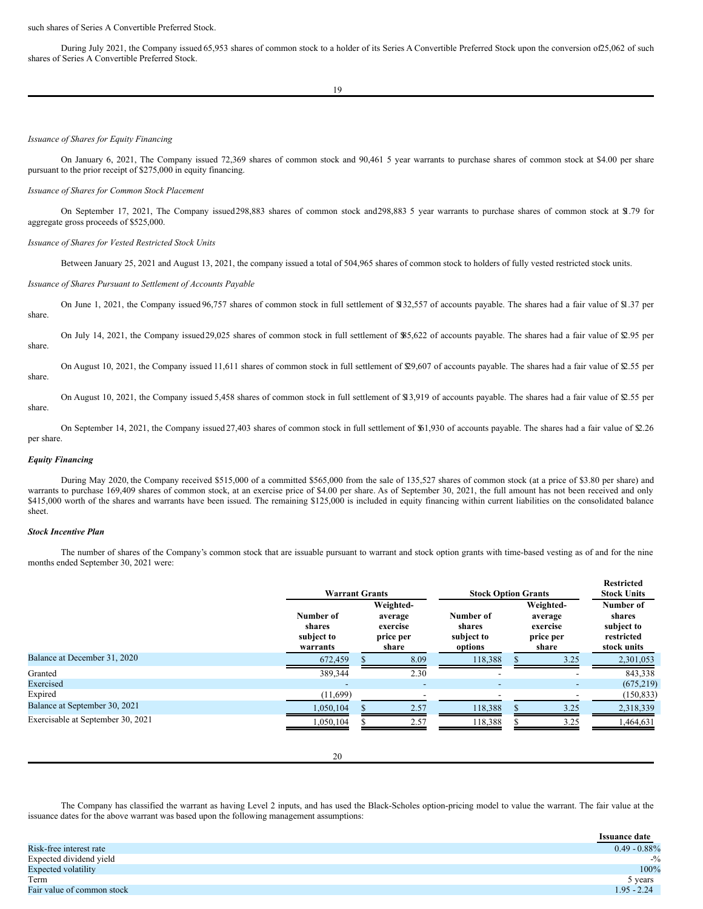# such shares of Series A Convertible Preferred Stock.

During July 2021, the Company issued 65,953 shares of common stock to a holder of its Series A Convertible Preferred Stock upon the conversion of25,062 of such shares of Series A Convertible Preferred Stock.

# *Issuance of Shares for Equity Financing*

On January 6, 2021, The Company issued 72,369 shares of common stock and 90,461 5 year warrants to purchase shares of common stock at \$4.00 per share pursuant to the prior receipt of \$275,000 in equity financing.

## *Issuance of Shares for Common Stock Placement*

On September 17, 2021, The Company issued298,883 shares of common stock and298,883 5 year warrants to purchase shares of common stock at \$1.79 for aggregate gross proceeds of \$525,000.

*Issuance of Shares for Vested Restricted Stock Units*

Between January 25, 2021 and August 13, 2021, the company issued a total of 504,965 shares of common stock to holders of fully vested restricted stock units.

*Issuance of Shares Pursuant to Settlement of Accounts Payable*

On June 1, 2021, the Company issued 96,757 shares of common stock in full settlement of \$132,557 of accounts payable. The shares had a fair value of \$1.37 per share.

On July 14, 2021, the Company issued 29,025 shares of common stock in full settlement of \$85,622 of accounts payable. The shares had a fair value of \$2.95 per share.

On August 10, 2021, the Company issued 11,611 shares of common stock in full settlement of \$2,607 of accounts payable. The shares had a fair value of \$2.55 per share.

On August 10, 2021, the Company issued 5,458 shares of common stock in full settlement of \$13,919 of accounts payable. The shares had a fair value of \$2.55 per share.

On September 14, 2021, the Company issued 27,403 shares of common stock in full settlement of \$1,930 of accounts payable. The shares had a fair value of \$2.26 per share.

## *Equity Financing*

During May 2020, the Company received \$515,000 of a committed \$565,000 from the sale of 135,527 shares of common stock (at a price of \$3.80 per share) and warrants to purchase 169,409 shares of common stock, at an exercise price of \$4.00 per share. As of September 30, 2021, the full amount has not been received and only \$415,000 worth of the shares and warrants have been issued. The remaining \$125,000 is included in equity financing within current liabilities on the consolidated balance sheet.

#### *Stock Incentive Plan*

The number of shares of the Company's common stock that are issuable pursuant to warrant and stock option grants with time-based vesting as of and for the nine months ended September 30, 2021 were:

**Restricted**

|                                   | <b>Warrant Grants</b>                         |                                                        | <b>Stock Option Grants</b>                   |                                                        | <b>Restricted</b><br><b>Stock Units</b>                        |
|-----------------------------------|-----------------------------------------------|--------------------------------------------------------|----------------------------------------------|--------------------------------------------------------|----------------------------------------------------------------|
|                                   | Number of<br>shares<br>subject to<br>warrants | Weighted-<br>average<br>exercise<br>price per<br>share | Number of<br>shares<br>subject to<br>options | Weighted-<br>average<br>exercise<br>price per<br>share | Number of<br>shares<br>subject to<br>restricted<br>stock units |
| Balance at December 31, 2020      | 672,459                                       | 8.09                                                   | 118,388                                      | 3.25                                                   | 2,301,053                                                      |
| Granted                           | 389,344                                       | 2.30                                                   | $\overline{\phantom{0}}$                     |                                                        | 843,338                                                        |
| Exercised                         |                                               |                                                        |                                              |                                                        | (675, 219)                                                     |
| Expired                           | (11,699)                                      |                                                        |                                              |                                                        | (150, 833)                                                     |
| Balance at September 30, 2021     | 1,050,104                                     | 2.57                                                   | 118,388                                      | 3.25                                                   | 2,318,339                                                      |
| Exercisable at September 30, 2021 | 1,050,104                                     | 2.57                                                   | 118,388                                      | 3.25                                                   | 1,464,631                                                      |
|                                   |                                               |                                                        |                                              |                                                        |                                                                |

20

The Company has classified the warrant as having Level 2 inputs, and has used the Black-Scholes option-pricing model to value the warrant. The fair value at the issuance dates for the above warrant was based upon the following management assumptions:

|                            | <b>Issuance date</b> |
|----------------------------|----------------------|
| Risk-free interest rate    | $0.49 - 0.88\%$      |
| Expected dividend yield    | $-1/2$               |
| <b>Expected volatility</b> | 100%                 |
| Term                       | 5 years              |
| Fair value of common stock | $1.95 - 2.24$        |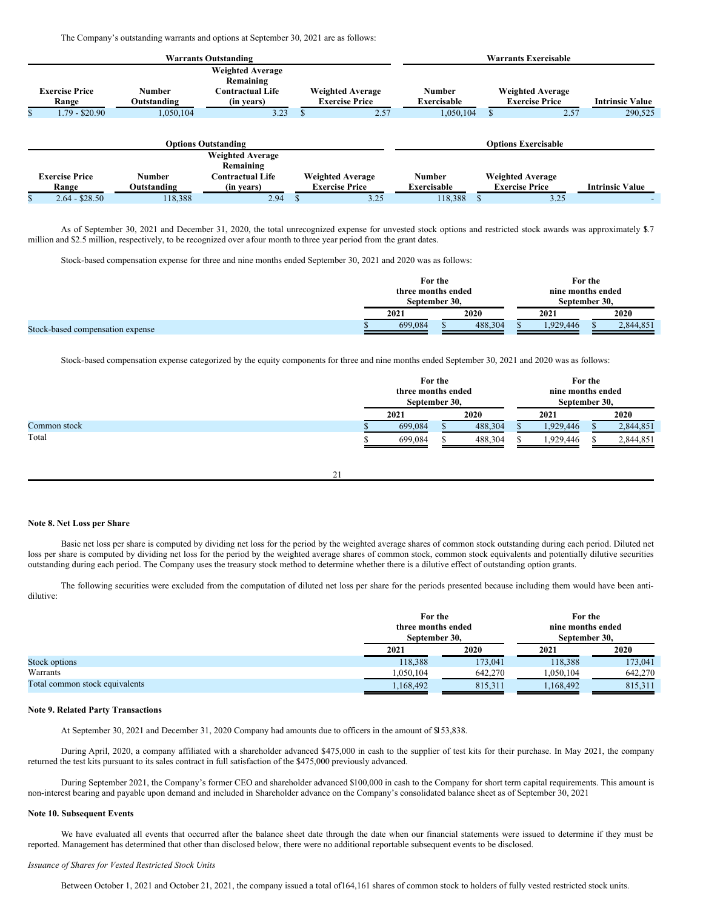The Company's outstanding warrants and options at September 30, 2021 are as follows:

|                                |                              | <b>Warrants Outstanding</b>                                            |                                                  |                                     | <b>Warrants Exercisable</b>                      |      |                        |
|--------------------------------|------------------------------|------------------------------------------------------------------------|--------------------------------------------------|-------------------------------------|--------------------------------------------------|------|------------------------|
| <b>Exercise Price</b><br>Range | <b>Number</b><br>Outstanding | <b>Weighted Average</b><br>Remaining<br>Contractual Life<br>(in years) | <b>Weighted Average</b><br><b>Exercise Price</b> | <b>Number</b><br><b>Exercisable</b> | <b>Weighted Average</b><br><b>Exercise Price</b> |      | <b>Intrinsic Value</b> |
| $1.79 - $20.90$<br>\$          | 1.050.104                    | 3.23                                                                   | 2.57                                             | 1.050.104                           |                                                  | 2.57 | 290.525                |
|                                |                              | <b>Options Outstanding</b>                                             |                                                  |                                     | <b>Options Exercisable</b>                       |      |                        |
|                                |                              | <b>Weighted Average</b><br>Remaining                                   |                                                  |                                     |                                                  |      |                        |
| <b>Exercise Price</b>          | <b>Number</b>                | Contractual Life                                                       | <b>Weighted Average</b>                          | Number                              | <b>Weighted Average</b>                          |      |                        |
| Range                          | Outstanding                  | (in years)                                                             | <b>Exercise Price</b>                            | Exercisable                         | <b>Exercise Price</b>                            |      | <b>Intrinsic Value</b> |
| $2.64 - $28.50$<br>\$          | 118,388                      | 2.94                                                                   | 3.25                                             | 118,388                             |                                                  | 3.25 |                        |

As of September 30, 2021 and December 31, 2020, the total unrecognized expense for unvested stock options and restricted stock awards was approximately \$.7 million and \$2.5 million, respectively, to be recognized over afour month to three year period from the grant dates.

Stock-based compensation expense for three and nine months ended September 30, 2021 and 2020 was as follows:

|                                  | For the            |  |         | For the           |          |  |           |
|----------------------------------|--------------------|--|---------|-------------------|----------|--|-----------|
|                                  | three months ended |  |         | nine months ended |          |  |           |
|                                  | September 30,      |  |         | September 30.     |          |  |           |
|                                  | 2020<br>2021       |  |         | 2020<br>2021      |          |  |           |
| Stock-based compensation expense | 699.084            |  | 488,304 |                   | .929,446 |  | 2.844.851 |

Stock-based compensation expense categorized by the equity components for three and nine months ended September 30, 2021 and 2020 was as follows:

|              | For the<br>three months ended<br>September 30, |  |         | For the<br>nine months ended<br>September 30, |           |  |           |
|--------------|------------------------------------------------|--|---------|-----------------------------------------------|-----------|--|-----------|
|              | 2021                                           |  | 2020    |                                               | 2021      |  | 2020      |
| Common stock | 699,084                                        |  | 488,304 |                                               | 1,929,446 |  | 2,844,851 |
| Total        | 699,084                                        |  | 488,304 |                                               | 1,929,446 |  | 2,844,851 |

21

# **Note 8. Net Loss per Share**

Basic net loss per share is computed by dividing net loss for the period by the weighted average shares of common stock outstanding during each period. Diluted net loss per share is computed by dividing net loss for the period by the weighted average shares of common stock, common stock equivalents and potentially dilutive securities outstanding during each period. The Company uses the treasury stock method to determine whether there is a dilutive effect of outstanding option grants.

The following securities were excluded from the computation of diluted net loss per share for the periods presented because including them would have been antidilutive:

|                                | For the<br>three months ended<br>September 30. |         | For the<br>nine months ended<br>September 30. |         |
|--------------------------------|------------------------------------------------|---------|-----------------------------------------------|---------|
|                                | 2021                                           | 2020    | 2021                                          | 2020    |
| Stock options                  | 118,388                                        | 173,041 | 118,388                                       | 173,041 |
| Warrants                       | .050.104                                       | 642,270 | .050.104                                      | 642,270 |
| Total common stock equivalents | 1,168,492                                      | 815,311 | 1,168,492                                     | 815,311 |

## **Note 9. Related Party Transactions**

At September 30, 2021 and December 31, 2020 Company had amounts due to officers in the amount of \$153,838.

During April, 2020, a company affiliated with a shareholder advanced \$475,000 in cash to the supplier of test kits for their purchase. In May 2021, the company returned the test kits pursuant to its sales contract in full satisfaction of the \$475,000 previously advanced.

During September 2021, the Company's former CEO and shareholder advanced \$100,000 in cash to the Company for short term capital requirements. This amount is non-interest bearing and payable upon demand and included in Shareholder advance on the Company's consolidated balance sheet as of September 30, 2021

## **Note 10. Subsequent Events**

We have evaluated all events that occurred after the balance sheet date through the date when our financial statements were issued to determine if they must be reported. Management has determined that other than disclosed below, there were no additional reportable subsequent events to be disclosed.

# *Issuance of Shares for Vested Restricted Stock Units*

Between October 1, 2021 and October 21, 2021, the company issued a total of164,161 shares of common stock to holders of fully vested restricted stock units.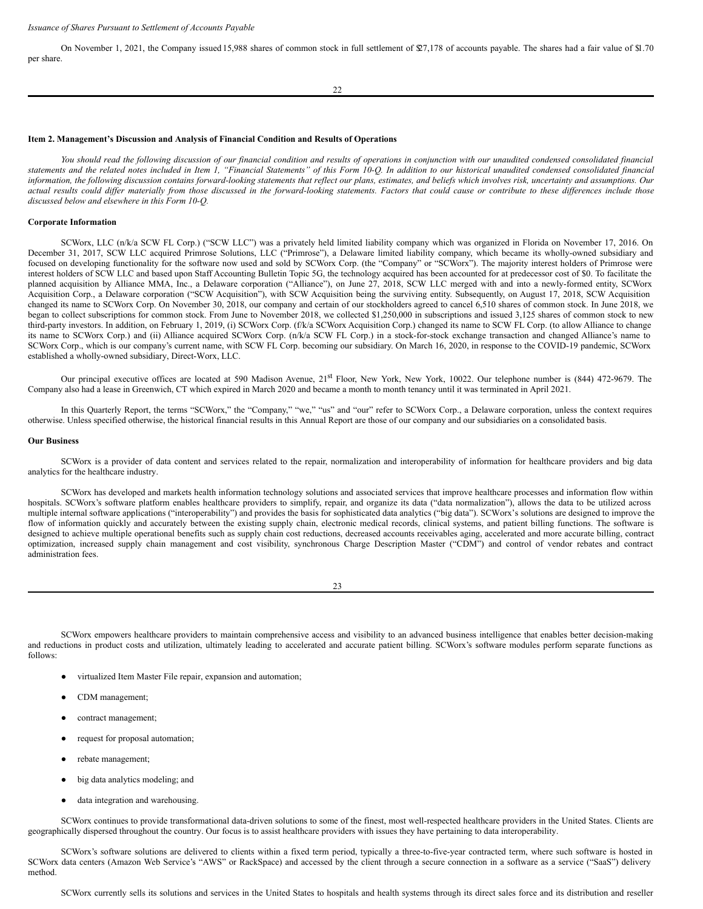#### *Issuance of Shares Pursuant to Settlement of Accounts Payable*

On November 1, 2021, the Company issued 15,988 shares of common stock in full settlement of \$27,178 of accounts payable. The shares had a fair value of \$1.70 per share.

 $22$ 

# **Item 2. Management's Discussion and Analysis of Financial Condition and Results of Operations**

You should read the following discussion of our financial condition and results of operations in conjunction with our unaudited condensed consolidated financial statements and the related notes included in Item 1, "Financial Statements" of this Form 10-Q. In addition to our historical unaudited condensed consolidated financial information, the following discussion contains forward-looking statements that reflect our plans, estimates, and beliefs which involves risk, uncertainty and assumptions. Our actual results could differ materially from those discussed in the forward-looking statements. Factors that could cause or contribute to these differences include those *discussed below and elsewhere in this Form 10-Q.*

# **Corporate Information**

SCWorx, LLC (n/k/a SCW FL Corp.) ("SCW LLC") was a privately held limited liability company which was organized in Florida on November 17, 2016. On December 31, 2017, SCW LLC acquired Primrose Solutions, LLC ("Primrose"), a Delaware limited liability company, which became its wholly-owned subsidiary and focused on developing functionality for the software now used and sold by SCWorx Corp. (the "Company" or "SCWorx"). The majority interest holders of Primrose were interest holders of SCW LLC and based upon Staff Accounting Bulletin Topic 5G, the technology acquired has been accounted for at predecessor cost of \$0. To facilitate the planned acquisition by Alliance MMA, Inc., a Delaware corporation ("Alliance"), on June 27, 2018, SCW LLC merged with and into a newly-formed entity, SCWorx Acquisition Corp., a Delaware corporation ("SCW Acquisition"), with SCW Acquisition being the surviving entity. Subsequently, on August 17, 2018, SCW Acquisition changed its name to SCWorx Corp. On November 30, 2018, our company and certain of our stockholders agreed to cancel 6,510 shares of common stock. In June 2018, we began to collect subscriptions for common stock. From June to November 2018, we collected \$1,250,000 in subscriptions and issued 3,125 shares of common stock to new third-party investors. In addition, on February 1, 2019, (i) SCWorx Corp. (f/k/a SCWorx Acquisition Corp.) changed its name to SCW FL Corp. (to allow Alliance to change its name to SCWorx Corp.) and (ii) Alliance acquired SCWorx Corp. (n/k/a SCW FL Corp.) in a stock-for-stock exchange transaction and changed Alliance's name to SCWorx Corp., which is our company's current name, with SCW FL Corp. becoming our subsidiary. On March 16, 2020, in response to the COVID-19 pandemic, SCWorx established a wholly-owned subsidiary, Direct-Worx, LLC.

Our principal executive offices are located at 590 Madison Avenue, 21<sup>st</sup> Floor, New York, New York, 10022. Our telephone number is (844) 472-9679. The Company also had a lease in Greenwich, CT which expired in March 2020 and became a month to month tenancy until it was terminated in April 2021.

In this Quarterly Report, the terms "SCWorx," the "Company," "we," "us" and "our" refer to SCWorx Corp., a Delaware corporation, unless the context requires otherwise. Unless specified otherwise, the historical financial results in this Annual Report are those of our company and our subsidiaries on a consolidated basis.

### **Our Business**

SCWorx is a provider of data content and services related to the repair, normalization and interoperability of information for healthcare providers and big data analytics for the healthcare industry.

SCWorx has developed and markets health information technology solutions and associated services that improve healthcare processes and information flow within hospitals. SCWorx's software platform enables healthcare providers to simplify, repair, and organize its data ("data normalization"), allows the data to be utilized across multiple internal software applications ("interoperability") and provides the basis for sophisticated data analytics ("big data"). SCWorx's solutions are designed to improve the flow of information quickly and accurately between the existing supply chain, electronic medical records, clinical systems, and patient billing functions. The software is designed to achieve multiple operational benefits such as supply chain cost reductions, decreased accounts receivables aging, accelerated and more accurate billing, contract optimization, increased supply chain management and cost visibility, synchronous Charge Description Master ("CDM") and control of vendor rebates and contract administration fees.

| I | I<br>I<br>×<br>v |
|---|------------------|

SCWorx empowers healthcare providers to maintain comprehensive access and visibility to an advanced business intelligence that enables better decision-making and reductions in product costs and utilization, ultimately leading to accelerated and accurate patient billing. SCWorx's software modules perform separate functions as follows:

- virtualized Item Master File repair, expansion and automation;
- CDM management;
- contract management;
- request for proposal automation;
- rebate management;
- big data analytics modeling; and
- data integration and warehousing.

SCWorx continues to provide transformational data-driven solutions to some of the finest, most well-respected healthcare providers in the United States. Clients are geographically dispersed throughout the country. Our focus is to assist healthcare providers with issues they have pertaining to data interoperability.

SCWorx's software solutions are delivered to clients within a fixed term period, typically a three-to-five-year contracted term, where such software is hosted in SCWorx data centers (Amazon Web Service's "AWS" or RackSpace) and accessed by the client through a secure connection in a software as a service ("SaaS") delivery method.

SCWorx currently sells its solutions and services in the United States to hospitals and health systems through its direct sales force and its distribution and reseller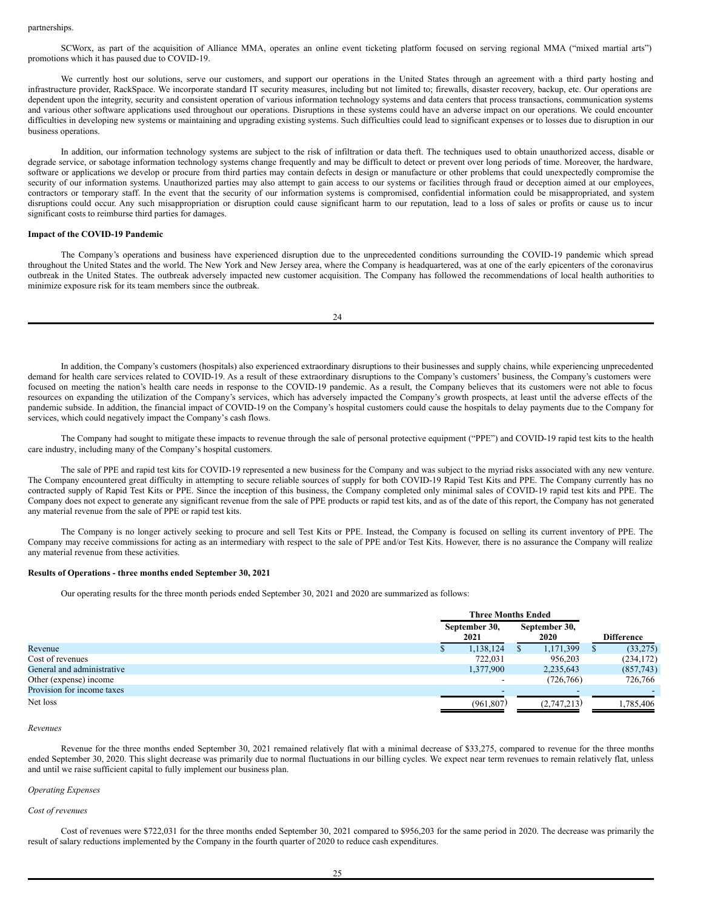## partnerships.

SCWorx, as part of the acquisition of Alliance MMA, operates an online event ticketing platform focused on serving regional MMA ("mixed martial arts") promotions which it has paused due to COVID-19.

We currently host our solutions, serve our customers, and support our operations in the United States through an agreement with a third party hosting and infrastructure provider, RackSpace. We incorporate standard IT security measures, including but not limited to; firewalls, disaster recovery, backup, etc. Our operations are dependent upon the integrity, security and consistent operation of various information technology systems and data centers that process transactions, communication systems and various other software applications used throughout our operations. Disruptions in these systems could have an adverse impact on our operations. We could encounter difficulties in developing new systems or maintaining and upgrading existing systems. Such difficulties could lead to significant expenses or to losses due to disruption in our business operations.

In addition, our information technology systems are subject to the risk of infiltration or data theft. The techniques used to obtain unauthorized access, disable or degrade service, or sabotage information technology systems change frequently and may be difficult to detect or prevent over long periods of time. Moreover, the hardware, software or applications we develop or procure from third parties may contain defects in design or manufacture or other problems that could unexpectedly compromise the security of our information systems. Unauthorized parties may also attempt to gain access to our systems or facilities through fraud or deception aimed at our employees, contractors or temporary staff. In the event that the security of our information systems is compromised, confidential information could be misappropriated, and system disruptions could occur. Any such misappropriation or disruption could cause significant harm to our reputation, lead to a loss of sales or profits or cause us to incur significant costs to reimburse third parties for damages.

# **Impact of the COVID-19 Pandemic**

The Company's operations and business have experienced disruption due to the unprecedented conditions surrounding the COVID-19 pandemic which spread throughout the United States and the world. The New York and New Jersey area, where the Company is headquartered, was at one of the early epicenters of the coronavirus outbreak in the United States. The outbreak adversely impacted new customer acquisition. The Company has followed the recommendations of local health authorities to minimize exposure risk for its team members since the outbreak.

 $24$ 

In addition, the Company's customers (hospitals) also experienced extraordinary disruptions to their businesses and supply chains, while experiencing unprecedented demand for health care services related to COVID-19. As a result of these extraordinary disruptions to the Company's customers' business, the Company's customers were focused on meeting the nation's health care needs in response to the COVID-19 pandemic. As a result, the Company believes that its customers were not able to focus resources on expanding the utilization of the Company's services, which has adversely impacted the Company's growth prospects, at least until the adverse effects of the pandemic subside. In addition, the financial impact of COVID-19 on the Company's hospital customers could cause the hospitals to delay payments due to the Company for services, which could negatively impact the Company's cash flows.

The Company had sought to mitigate these impacts to revenue through the sale of personal protective equipment ("PPE") and COVID-19 rapid test kits to the health care industry, including many of the Company's hospital customers.

The sale of PPE and rapid test kits for COVID-19 represented a new business for the Company and was subject to the myriad risks associated with any new venture. The Company encountered great difficulty in attempting to secure reliable sources of supply for both COVID-19 Rapid Test Kits and PPE. The Company currently has no contracted supply of Rapid Test Kits or PPE. Since the inception of this business, the Company completed only minimal sales of COVID-19 rapid test kits and PPE. The Company does not expect to generate any significant revenue from the sale of PPE products or rapid test kits, and as of the date of this report, the Company has not generated any material revenue from the sale of PPE or rapid test kits.

The Company is no longer actively seeking to procure and sell Test Kits or PPE. Instead, the Company is focused on selling its current inventory of PPE. The Company may receive commissions for acting as an intermediary with respect to the sale of PPE and/or Test Kits. However, there is no assurance the Company will realize any material revenue from these activities.

# **Results of Operations - three months ended September 30, 2021**

Our operating results for the three month periods ended September 30, 2021 and 2020 are summarized as follows:

|                            |                          | <b>Three Months Ended</b> |                       |  |                   |
|----------------------------|--------------------------|---------------------------|-----------------------|--|-------------------|
|                            | September 30,<br>2021    |                           | September 30,<br>2020 |  | <b>Difference</b> |
| Revenue                    | 1,138,124                |                           | 1,171,399             |  | (33,275)          |
| Cost of revenues           | 722,031                  |                           | 956,203               |  | (234, 172)        |
| General and administrative | 1,377,900                |                           | 2,235,643             |  | (857,743)         |
| Other (expense) income     |                          |                           | (726, 766)            |  | 726,766           |
| Provision for income taxes | $\overline{\phantom{a}}$ |                           |                       |  |                   |
| Net loss                   | (961, 807)               |                           | (2,747,213)           |  | 1,785,406         |

*Revenues*

Revenue for the three months ended September 30, 2021 remained relatively flat with a minimal decrease of \$33,275, compared to revenue for the three months ended September 30, 2020. This slight decrease was primarily due to normal fluctuations in our billing cycles. We expect near term revenues to remain relatively flat, unless and until we raise sufficient capital to fully implement our business plan.

# *Operating Expenses*

#### *Cost of revenues*

Cost of revenues were \$722,031 for the three months ended September 30, 2021 compared to \$956,203 for the same period in 2020. The decrease was primarily the result of salary reductions implemented by the Company in the fourth quarter of 2020 to reduce cash expenditures.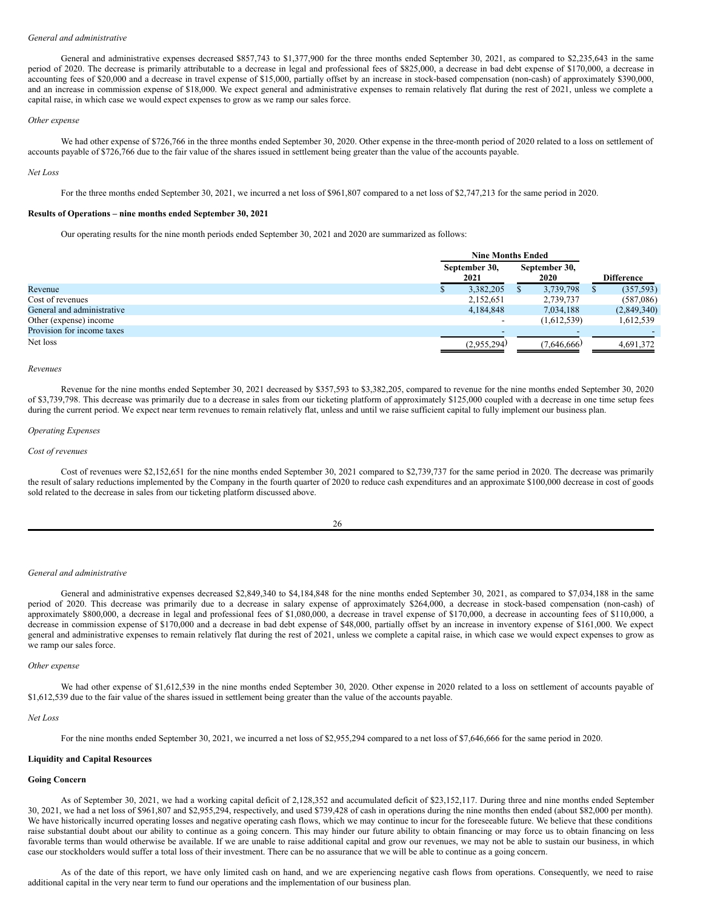## *General and administrative*

General and administrative expenses decreased \$857,743 to \$1,377,900 for the three months ended September 30, 2021, as compared to \$2,235,643 in the same period of 2020. The decrease is primarily attributable to a decrease in legal and professional fees of \$825,000, a decrease in bad debt expense of \$170,000, a decrease in accounting fees of \$20,000 and a decrease in travel expense of \$15,000, partially offset by an increase in stock-based compensation (non-cash) of approximately \$390,000, and an increase in commission expense of \$18,000. We expect general and administrative expenses to remain relatively flat during the rest of 2021, unless we complete a capital raise, in which case we would expect expenses to grow as we ramp our sales force.

## *Other expense*

We had other expense of \$726,766 in the three months ended September 30, 2020. Other expense in the three-month period of 2020 related to a loss on settlement of accounts payable of \$726,766 due to the fair value of the shares issued in settlement being greater than the value of the accounts payable.

### *Net Loss*

For the three months ended September 30, 2021, we incurred a net loss of \$961,807 compared to a net loss of \$2,747,213 for the same period in 2020.

## **Results of Operations – nine months ended September 30, 2021**

Our operating results for the nine month periods ended September 30, 2021 and 2020 are summarized as follows:

|                            |                          | <b>Nine Months Ended</b> |                       |  |                   |
|----------------------------|--------------------------|--------------------------|-----------------------|--|-------------------|
|                            | September 30,<br>2021    |                          | September 30,<br>2020 |  | <b>Difference</b> |
| Revenue                    | 3,382,205                |                          | 3,739,798             |  | (357, 593)        |
| Cost of revenues           | 2,152,651                |                          | 2,739,737             |  | (587,086)         |
| General and administrative | 4,184,848                |                          | 7,034,188             |  | (2,849,340)       |
| Other (expense) income     | $\overline{\phantom{a}}$ |                          | (1,612,539)           |  | 1,612,539         |
| Provision for income taxes |                          |                          |                       |  |                   |
| Net loss                   | (2,955,294)              |                          | (7,646,666)           |  | 4.691.372         |

### *Revenues*

Revenue for the nine months ended September 30, 2021 decreased by \$357,593 to \$3,382,205, compared to revenue for the nine months ended September 30, 2020 of \$3,739,798. This decrease was primarily due to a decrease in sales from our ticketing platform of approximately \$125,000 coupled with a decrease in one time setup fees during the current period. We expect near term revenues to remain relatively flat, unless and until we raise sufficient capital to fully implement our business plan.

## *Operating Expenses*

# *Cost of revenues*

Cost of revenues were \$2,152,651 for the nine months ended September 30, 2021 compared to \$2,739,737 for the same period in 2020. The decrease was primarily the result of salary reductions implemented by the Company in the fourth quarter of 2020 to reduce cash expenditures and an approximate \$100,000 decrease in cost of goods sold related to the decrease in sales from our ticketing platform discussed above.

| ł |             |
|---|-------------|
| I | I           |
|   | I<br>×<br>٧ |

# *General and administrative*

General and administrative expenses decreased \$2,849,340 to \$4,184,848 for the nine months ended September 30, 2021, as compared to \$7,034,188 in the same period of 2020. This decrease was primarily due to a decrease in salary expense of approximately \$264,000, a decrease in stock-based compensation (non-cash) of approximately \$800,000, a decrease in legal and professional fees of \$1,080,000, a decrease in travel expense of \$170,000, a decrease in accounting fees of \$110,000, a decrease in commission expense of \$170,000 and a decrease in bad debt expense of \$48,000, partially offset by an increase in inventory expense of \$161,000. We expect general and administrative expenses to remain relatively flat during the rest of 2021, unless we complete a capital raise, in which case we would expect expenses to grow as we ramp our sales force.

### *Other expense*

We had other expense of \$1,612,539 in the nine months ended September 30, 2020. Other expense in 2020 related to a loss on settlement of accounts payable of \$1,612,539 due to the fair value of the shares issued in settlement being greater than the value of the accounts payable.

# *Net Loss*

For the nine months ended September 30, 2021, we incurred a net loss of \$2,955,294 compared to a net loss of \$7,646,666 for the same period in 2020.

## **Liquidity and Capital Resources**

## **Going Concern**

As of September 30, 2021, we had a working capital deficit of 2,128,352 and accumulated deficit of \$23,152,117. During three and nine months ended September 30, 2021, we had a net loss of \$961,807 and \$2,955,294, respectively, and used \$739,428 of cash in operations during the nine months then ended (about \$82,000 per month). We have historically incurred operating losses and negative operating cash flows, which we may continue to incur for the foreseeable future. We believe that these conditions raise substantial doubt about our ability to continue as a going concern. This may hinder our future ability to obtain financing or may force us to obtain financing on less favorable terms than would otherwise be available. If we are unable to raise additional capital and grow our revenues, we may not be able to sustain our business, in which case our stockholders would suffer a total loss of their investment. There can be no assurance that we will be able to continue as a going concern.

As of the date of this report, we have only limited cash on hand, and we are experiencing negative cash flows from operations. Consequently, we need to raise additional capital in the very near term to fund our operations and the implementation of our business plan.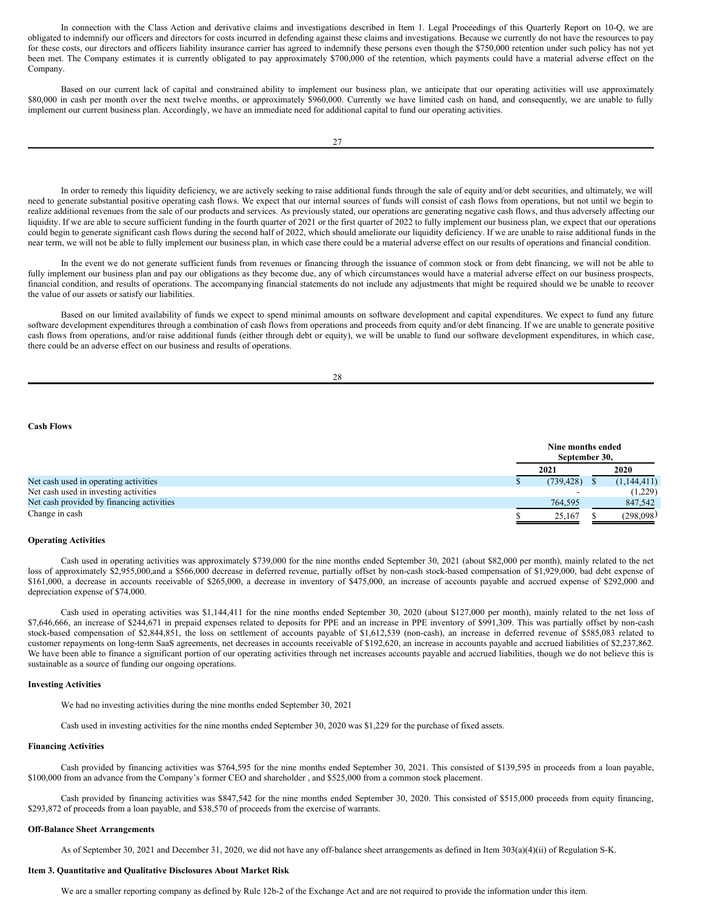In connection with the Class Action and derivative claims and investigations described in Item 1. Legal Proceedings of this Quarterly Report on 10-Q, we are obligated to indemnify our officers and directors for costs incurred in defending against these claims and investigations. Because we currently do not have the resources to pay for these costs, our directors and officers liability insurance carrier has agreed to indemnify these persons even though the \$750,000 retention under such policy has not yet been met. The Company estimates it is currently obligated to pay approximately \$700,000 of the retention, which payments could have a material adverse effect on the Company.

Based on our current lack of capital and constrained ability to implement our business plan, we anticipate that our operating activities will use approximately \$80,000 in cash per month over the next twelve months, or approximately \$960,000. Currently we have limited cash on hand, and consequently, we are unable to fully implement our current business plan. Accordingly, we have an immediate need for additional capital to fund our operating activities.

In order to remedy this liquidity deficiency, we are actively seeking to raise additional funds through the sale of equity and/or debt securities, and ultimately, we will need to generate substantial positive operating cash flows. We expect that our internal sources of funds will consist of cash flows from operations, but not until we begin to realize additional revenues from the sale of our products and services. As previously stated, our operations are generating negative cash flows, and thus adversely affecting our liquidity. If we are able to secure sufficient funding in the fourth quarter of 2021 or the first quarter of 2022 to fully implement our business plan, we expect that our operations could begin to generate significant cash flows during the second half of 2022, which should ameliorate our liquidity deficiency. If we are unable to raise additional funds in the near term, we will not be able to fully implement our business plan, in which case there could be a material adverse effect on our results of operations and financial condition.

In the event we do not generate sufficient funds from revenues or financing through the issuance of common stock or from debt financing, we will not be able to fully implement our business plan and pay our obligations as they become due, any of which circumstances would have a material adverse effect on our business prospects, financial condition, and results of operations. The accompanying financial statements do not include any adjustments that might be required should we be unable to recover the value of our assets or satisfy our liabilities.

Based on our limited availability of funds we expect to spend minimal amounts on software development and capital expenditures. We expect to fund any future software development expenditures through a combination of cash flows from operations and proceeds from equity and/or debt financing. If we are unable to generate positive cash flows from operations, and/or raise additional funds (either through debt or equity), we will be unable to fund our software development expenditures, in which case, there could be an adverse effect on our business and results of operations.

28

## **Cash Flows**

|                                           |            | Nine months ended<br>September 30, |             |  |
|-------------------------------------------|------------|------------------------------------|-------------|--|
|                                           | 2021       |                                    | 2020        |  |
| Net cash used in operating activities     | (739, 428) |                                    | (1,144,411) |  |
| Net cash used in investing activities     |            | $\overline{\phantom{0}}$           | (1,229)     |  |
| Net cash provided by financing activities | 764.595    |                                    | 847,542     |  |
| Change in cash                            | 25,167     |                                    | (298.098)   |  |

## **Operating Activities**

Cash used in operating activities was approximately \$739,000 for the nine months ended September 30, 2021 (about \$82,000 per month), mainly related to the net loss of approximately \$2,955,000,and a \$566,000 decrease in deferred revenue, partially offset by non-cash stock-based compensation of \$1,929,000, bad debt expense of \$161,000, a decrease in accounts receivable of \$265,000, a decrease in inventory of \$475,000, an increase of accounts payable and accrued expense of \$292,000 and depreciation expense of \$74,000.

Cash used in operating activities was \$1,144,411 for the nine months ended September 30, 2020 (about \$127,000 per month), mainly related to the net loss of \$7,646,666, an increase of \$244,671 in prepaid expenses related to deposits for PPE and an increase in PPE inventory of \$991,309. This was partially offset by non-cash stock-based compensation of \$2,844,851, the loss on settlement of accounts payable of \$1,612,539 (non-cash), an increase in deferred revenue of \$585,083 related to customer repayments on long-term SaaS agreements, net decreases in accounts receivable of \$192,620, an increase in accounts payable and accrued liabilities of \$2,237,862. We have been able to finance a significant portion of our operating activities through net increases accounts payable and accrued liabilities, though we do not believe this is sustainable as a source of funding our ongoing operations.

### **Investing Activities**

We had no investing activities during the nine months ended September 30, 2021

Cash used in investing activities for the nine months ended September 30, 2020 was \$1,229 for the purchase of fixed assets.

# **Financing Activities**

Cash provided by financing activities was \$764,595 for the nine months ended September 30, 2021. This consisted of \$139,595 in proceeds from a loan payable, \$100,000 from an advance from the Company's former CEO and shareholder , and \$525,000 from a common stock placement.

Cash provided by financing activities was \$847,542 for the nine months ended September 30, 2020. This consisted of \$515,000 proceeds from equity financing, \$293,872 of proceeds from a loan payable, and \$38,570 of proceeds from the exercise of warrants.

## **Off-Balance Sheet Arrangements**

As of September 30, 2021 and December 31, 2020, we did not have any off-balance sheet arrangements as defined in Item 303(a)(4)(ii) of Regulation S-K.

# **Item 3. Quantitative and Qualitative Disclosures About Market Risk**

We are a smaller reporting company as defined by Rule 12b-2 of the Exchange Act and are not required to provide the information under this item.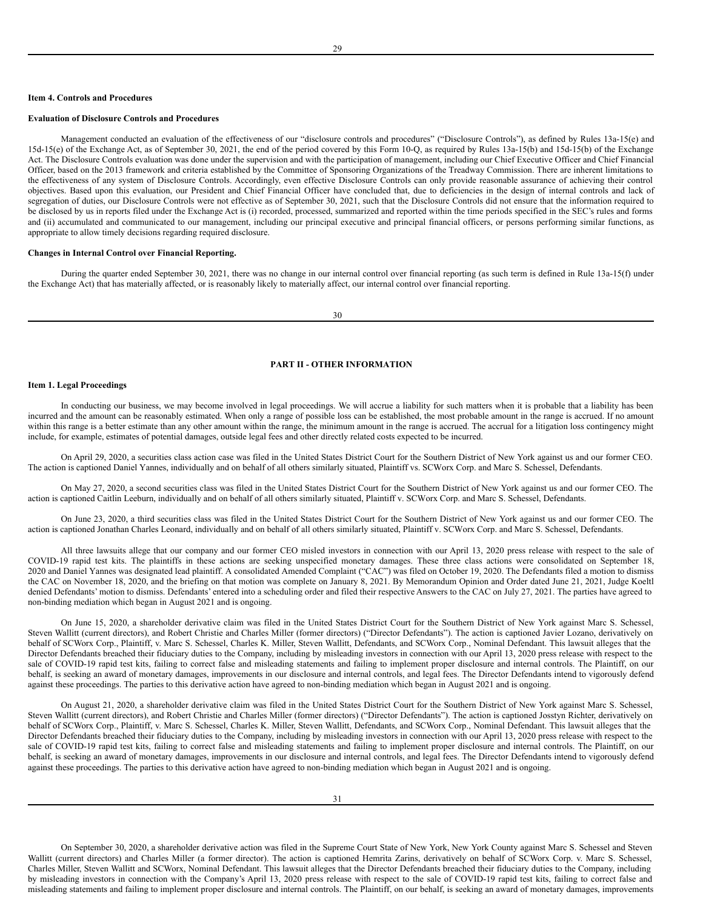# **Item 4. Controls and Procedures**

# **Evaluation of Disclosure Controls and Procedures**

Management conducted an evaluation of the effectiveness of our "disclosure controls and procedures" ("Disclosure Controls"), as defined by Rules 13a-15(e) and 15d-15(e) of the Exchange Act, as of September 30, 2021, the end of the period covered by this Form 10-Q, as required by Rules 13a-15(b) and 15d-15(b) of the Exchange Act. The Disclosure Controls evaluation was done under the supervision and with the participation of management, including our Chief Executive Officer and Chief Financial Officer, based on the 2013 framework and criteria established by the Committee of Sponsoring Organizations of the Treadway Commission. There are inherent limitations to the effectiveness of any system of Disclosure Controls. Accordingly, even effective Disclosure Controls can only provide reasonable assurance of achieving their control objectives. Based upon this evaluation, our President and Chief Financial Officer have concluded that, due to deficiencies in the design of internal controls and lack of segregation of duties, our Disclosure Controls were not effective as of September 30, 2021, such that the Disclosure Controls did not ensure that the information required to be disclosed by us in reports filed under the Exchange Act is (i) recorded, processed, summarized and reported within the time periods specified in the SEC's rules and forms and (ii) accumulated and communicated to our management, including our principal executive and principal financial officers, or persons performing similar functions, as appropriate to allow timely decisions regarding required disclosure.

# **Changes in Internal Control over Financial Reporting.**

During the quarter ended September 30, 2021, there was no change in our internal control over financial reporting (as such term is defined in Rule 13a-15(f) under the Exchange Act) that has materially affected, or is reasonably likely to materially affect, our internal control over financial reporting.

30

# **PART II - OTHER INFORMATION**

# **Item 1. Legal Proceedings**

In conducting our business, we may become involved in legal proceedings. We will accrue a liability for such matters when it is probable that a liability has been incurred and the amount can be reasonably estimated. When only a range of possible loss can be established, the most probable amount in the range is accrued. If no amount within this range is a better estimate than any other amount within the range, the minimum amount in the range is accrued. The accrual for a litigation loss contingency might include, for example, estimates of potential damages, outside legal fees and other directly related costs expected to be incurred.

On April 29, 2020, a securities class action case was filed in the United States District Court for the Southern District of New York against us and our former CEO. The action is captioned Daniel Yannes, individually and on behalf of all others similarly situated, Plaintiff vs. SCWorx Corp. and Marc S. Schessel, Defendants.

On May 27, 2020, a second securities class was filed in the United States District Court for the Southern District of New York against us and our former CEO. The action is captioned Caitlin Leeburn, individually and on behalf of all others similarly situated, Plaintiff v. SCWorx Corp. and Marc S. Schessel, Defendants.

On June 23, 2020, a third securities class was filed in the United States District Court for the Southern District of New York against us and our former CEO. The action is captioned Jonathan Charles Leonard, individually and on behalf of all others similarly situated, Plaintiff v. SCWorx Corp. and Marc S. Schessel, Defendants.

All three lawsuits allege that our company and our former CEO misled investors in connection with our April 13, 2020 press release with respect to the sale of COVID-19 rapid test kits. The plaintiffs in these actions are seeking unspecified monetary damages. These three class actions were consolidated on September 18, 2020 and Daniel Yannes was designated lead plaintiff. A consolidated Amended Complaint ("CAC") was filed on October 19, 2020. The Defendants filed a motion to dismiss the CAC on November 18, 2020, and the briefing on that motion was complete on January 8, 2021. By Memorandum Opinion and Order dated June 21, 2021, Judge Koeltl denied Defendants' motion to dismiss. Defendants' entered into a scheduling order and filed their respective Answers to the CAC on July 27, 2021. The parties have agreed to non-binding mediation which began in August 2021 and is ongoing.

On June 15, 2020, a shareholder derivative claim was filed in the United States District Court for the Southern District of New York against Marc S. Schessel, Steven Wallitt (current directors), and Robert Christie and Charles Miller (former directors) ("Director Defendants"). The action is captioned Javier Lozano, derivatively on behalf of SCWorx Corp., Plaintiff, v. Marc S. Schessel, Charles K. Miller, Steven Wallitt, Defendants, and SCWorx Corp., Nominal Defendant. This lawsuit alleges that the Director Defendants breached their fiduciary duties to the Company, including by misleading investors in connection with our April 13, 2020 press release with respect to the sale of COVID-19 rapid test kits, failing to correct false and misleading statements and failing to implement proper disclosure and internal controls. The Plaintiff, on our behalf, is seeking an award of monetary damages, improvements in our disclosure and internal controls, and legal fees. The Director Defendants intend to vigorously defend against these proceedings. The parties to this derivative action have agreed to non-binding mediation which began in August 2021 and is ongoing.

On August 21, 2020, a shareholder derivative claim was filed in the United States District Court for the Southern District of New York against Marc S. Schessel, Steven Wallitt (current directors), and Robert Christie and Charles Miller (former directors) ("Director Defendants"). The action is captioned Josstyn Richter, derivatively on behalf of SCWorx Corp., Plaintiff, v. Marc S. Schessel, Charles K. Miller, Steven Wallitt, Defendants, and SCWorx Corp., Nominal Defendant. This lawsuit alleges that the Director Defendants breached their fiduciary duties to the Company, including by misleading investors in connection with our April 13, 2020 press release with respect to the sale of COVID-19 rapid test kits, failing to correct false and misleading statements and failing to implement proper disclosure and internal controls. The Plaintiff, on our behalf, is seeking an award of monetary damages, improvements in our disclosure and internal controls, and legal fees. The Director Defendants intend to vigorously defend against these proceedings. The parties to this derivative action have agreed to non-binding mediation which began in August 2021 and is ongoing.

On September 30, 2020, a shareholder derivative action was filed in the Supreme Court State of New York, New York County against Marc S. Schessel and Steven Wallitt (current directors) and Charles Miller (a former director). The action is captioned Hemrita Zarins, derivatively on behalf of SCWorx Corp. v. Marc S. Schessel, Charles Miller, Steven Wallitt and SCWorx, Nominal Defendant. This lawsuit alleges that the Director Defendants breached their fiduciary duties to the Company, including by misleading investors in connection with the Company's April 13, 2020 press release with respect to the sale of COVID-19 rapid test kits, failing to correct false and misleading statements and failing to implement proper disclosure and internal controls. The Plaintiff, on our behalf, is seeking an award of monetary damages, improvements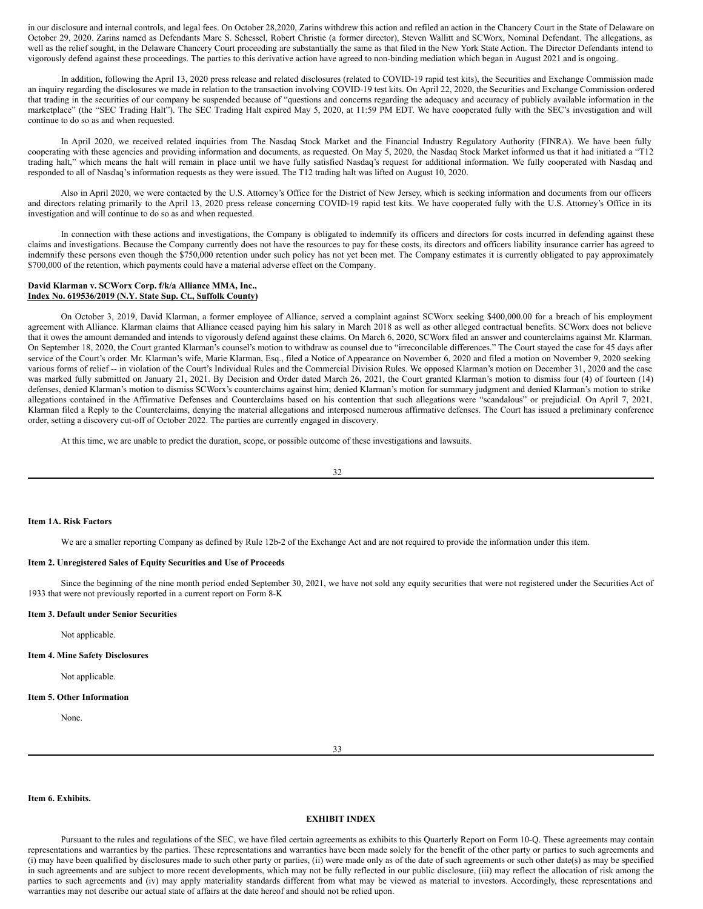in our disclosure and internal controls, and legal fees. On October 28,2020, Zarins withdrew this action and refiled an action in the Chancery Court in the State of Delaware on October 29, 2020. Zarins named as Defendants Marc S. Schessel, Robert Christie (a former director), Steven Wallitt and SCWorx, Nominal Defendant. The allegations, as well as the relief sought, in the Delaware Chancery Court proceeding are substantially the same as that filed in the New York State Action. The Director Defendants intend to vigorously defend against these proceedings. The parties to this derivative action have agreed to non-binding mediation which began in August 2021 and is ongoing.

In addition, following the April 13, 2020 press release and related disclosures (related to COVID-19 rapid test kits), the Securities and Exchange Commission made an inquiry regarding the disclosures we made in relation to the transaction involving COVID-19 test kits. On April 22, 2020, the Securities and Exchange Commission ordered that trading in the securities of our company be suspended because of "questions and concerns regarding the adequacy and accuracy of publicly available information in the marketplace" (the "SEC Trading Halt"). The SEC Trading Halt expired May 5, 2020, at 11:59 PM EDT. We have cooperated fully with the SEC's investigation and will continue to do so as and when requested.

In April 2020, we received related inquiries from The Nasdaq Stock Market and the Financial Industry Regulatory Authority (FINRA). We have been fully cooperating with these agencies and providing information and documents, as requested. On May 5, 2020, the Nasdaq Stock Market informed us that it had initiated a "T12 trading halt," which means the halt will remain in place until we have fully satisfied Nasdaq's request for additional information. We fully cooperated with Nasdaq and responded to all of Nasdaq's information requests as they were issued. The T12 trading halt was lifted on August 10, 2020.

Also in April 2020, we were contacted by the U.S. Attorney's Office for the District of New Jersey, which is seeking information and documents from our officers and directors relating primarily to the April 13, 2020 press release concerning COVID-19 rapid test kits. We have cooperated fully with the U.S. Attorney's Office in its investigation and will continue to do so as and when requested.

In connection with these actions and investigations, the Company is obligated to indemnify its officers and directors for costs incurred in defending against these claims and investigations. Because the Company currently does not have the resources to pay for these costs, its directors and officers liability insurance carrier has agreed to indemnify these persons even though the \$750,000 retention under such policy has not yet been met. The Company estimates it is currently obligated to pay approximately \$700,000 of the retention, which payments could have a material adverse effect on the Company.

# **David Klarman v. SCWorx Corp. f/k/a Alliance MMA, Inc., Index No. 619536/2019 (N.Y. State Sup. Ct., Suffolk County)**

On October 3, 2019, David Klarman, a former employee of Alliance, served a complaint against SCWorx seeking \$400,000.00 for a breach of his employment agreement with Alliance. Klarman claims that Alliance ceased paying him his salary in March 2018 as well as other alleged contractual benefits. SCWorx does not believe that it owes the amount demanded and intends to vigorously defend against these claims. On March 6, 2020, SCWorx filed an answer and counterclaims against Mr. Klarman. On September 18, 2020, the Court granted Klarman's counsel's motion to withdraw as counsel due to "irreconcilable differences." The Court stayed the case for 45 days after service of the Court's order. Mr. Klarman's wife, Marie Klarman, Esq., filed a Notice of Appearance on November 6, 2020 and filed a motion on November 9, 2020 seeking various forms of relief -- in violation of the Court's Individual Rules and the Commercial Division Rules. We opposed Klarman's motion on December 31, 2020 and the case was marked fully submitted on January 21, 2021. By Decision and Order dated March 26, 2021, the Court granted Klarman's motion to dismiss four (4) of fourteen (14) defenses, denied Klarman's motion to dismiss SCWorx's counterclaims against him; denied Klarman's motion for summary judgment and denied Klarman's motion to strike allegations contained in the Affirmative Defenses and Counterclaims based on his contention that such allegations were "scandalous" or prejudicial. On April 7, 2021, Klarman filed a Reply to the Counterclaims, denying the material allegations and interposed numerous affirmative defenses. The Court has issued a preliminary conference order, setting a discovery cut-off of October 2022. The parties are currently engaged in discovery.

At this time, we are unable to predict the duration, scope, or possible outcome of these investigations and lawsuits.

32

## **Item 1A. Risk Factors**

We are a smaller reporting Company as defined by Rule 12b-2 of the Exchange Act and are not required to provide the information under this item.

## **Item 2. Unregistered Sales of Equity Securities and Use of Proceeds**

Since the beginning of the nine month period ended September 30, 2021, we have not sold any equity securities that were not registered under the Securities Act of 1933 that were not previously reported in a current report on Form 8-K

#### **Item 3. Default under Senior Securities**

Not applicable.

# **Item 4. Mine Safety Disclosures**

Not applicable.

# **Item 5. Other Information**

None.

33

**Item 6. Exhibits.**

# **EXHIBIT INDEX**

Pursuant to the rules and regulations of the SEC, we have filed certain agreements as exhibits to this Quarterly Report on Form 10-Q. These agreements may contain representations and warranties by the parties. These representations and warranties have been made solely for the benefit of the other party or parties to such agreements and (i) may have been qualified by disclosures made to such other party or parties, (ii) were made only as of the date of such agreements or such other date(s) as may be specified in such agreements and are subject to more recent developments, which may not be fully reflected in our public disclosure, (iii) may reflect the allocation of risk among the parties to such agreements and (iv) may apply materiality standards different from what may be viewed as material to investors. Accordingly, these representations and warranties may not describe our actual state of affairs at the date hereof and should not be relied upon.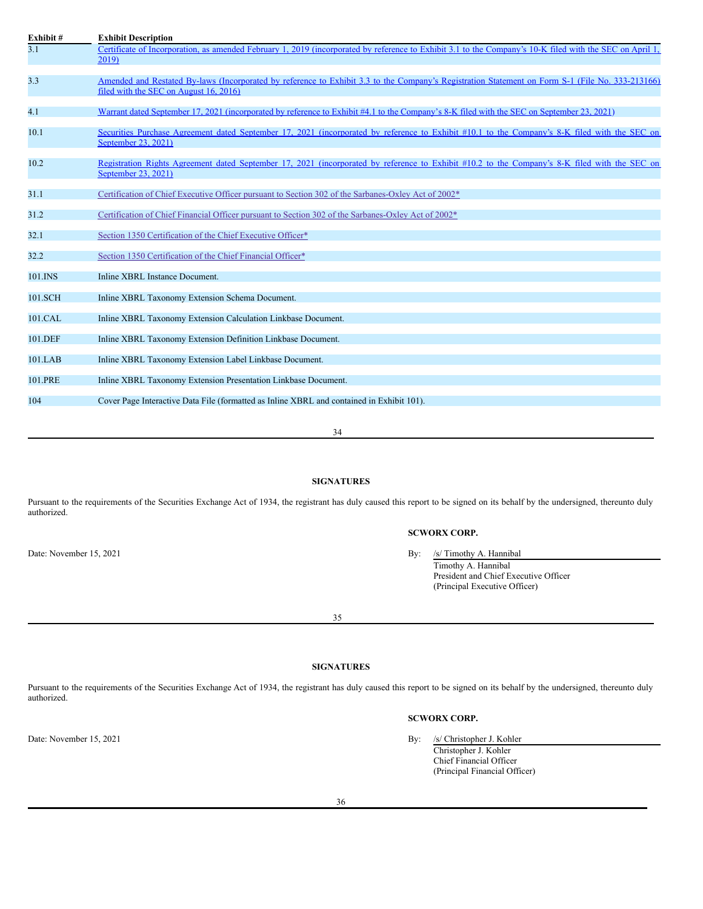| Exhibit# | <b>Exhibit Description</b>                                                                                                                                                                 |
|----------|--------------------------------------------------------------------------------------------------------------------------------------------------------------------------------------------|
| 3.1      | Certificate of Incorporation, as amended February 1, 2019 (incorporated by reference to Exhibit 3.1 to the Company's 10-K filed with the SEC on April 1,<br>2019)                          |
| 3.3      | Amended and Restated By-laws (Incorporated by reference to Exhibit 3.3 to the Company's Registration Statement on Form S-1 (File No. 333-213166)<br>filed with the SEC on August 16, 2016) |
| 4.1      | Warrant dated September 17, 2021 (incorporated by reference to Exhibit #4.1 to the Company's 8-K filed with the SEC on September 23, 2021)                                                 |
| 10.1     | Securities Purchase Agreement dated September 17, 2021 (incorporated by reference to Exhibit #10.1 to the Company's 8-K filed with the SEC on<br>September 23, 2021)                       |
| 10.2     | Registration Rights Agreement dated September 17, 2021 (incorporated by reference to Exhibit #10.2 to the Company's 8-K filed with the SEC on<br>September 23, 2021)                       |
| 31.1     | Certification of Chief Executive Officer pursuant to Section 302 of the Sarbanes-Oxley Act of 2002 <sup>*</sup>                                                                            |
| 31.2     | Certification of Chief Financial Officer pursuant to Section 302 of the Sarbanes-Oxley Act of 2002*                                                                                        |
| 32.1     | Section 1350 Certification of the Chief Executive Officer*                                                                                                                                 |
| 32.2     | Section 1350 Certification of the Chief Financial Officer*                                                                                                                                 |
| 101.INS  | Inline XBRL Instance Document.                                                                                                                                                             |
| 101.SCH  | Inline XBRL Taxonomy Extension Schema Document.                                                                                                                                            |
| 101.CAL  | Inline XBRL Taxonomy Extension Calculation Linkbase Document.                                                                                                                              |
| 101.DEF  | Inline XBRL Taxonomy Extension Definition Linkbase Document.                                                                                                                               |
| 101.LAB  | Inline XBRL Taxonomy Extension Label Linkbase Document.                                                                                                                                    |
| 101.PRE  | Inline XBRL Taxonomy Extension Presentation Linkbase Document.                                                                                                                             |
| 104      | Cover Page Interactive Data File (formatted as Inline XBRL and contained in Exhibit 101).                                                                                                  |

# 34

# **SIGNATURES**

Pursuant to the requirements of the Securities Exchange Act of 1934, the registrant has duly caused this report to be signed on its behalf by the undersigned, thereunto duly authorized.

**SCWORX CORP.**

Date: November 15, 2021 By: /s/ Timothy A. Hannibal Timothy A. Hannibal President and Chief Executive Officer (Principal Executive Officer)

35

# **SIGNATURES**

Pursuant to the requirements of the Securities Exchange Act of 1934, the registrant has duly caused this report to be signed on its behalf by the undersigned, thereunto duly authorized.

# **SCWORX CORP.**

Date: November 15, 2021 By: /s/ Christopher J. Kohler Christopher J. Kohler Chief Financial Officer (Principal Financial Officer)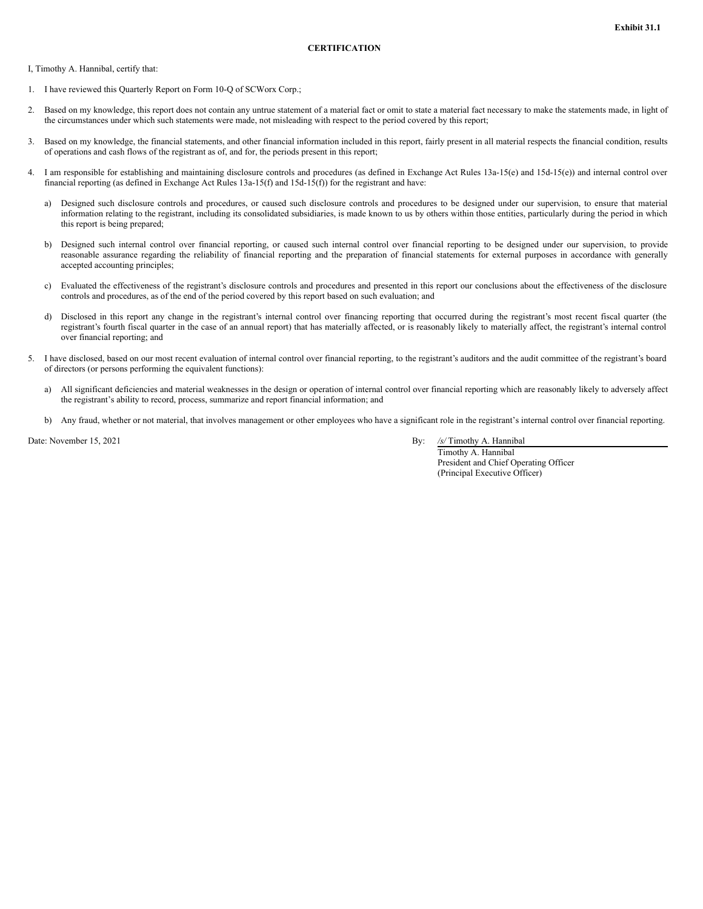<span id="page-22-0"></span>I, Timothy A. Hannibal, certify that:

- 1. I have reviewed this Quarterly Report on Form 10-Q of SCWorx Corp.;
- 2. Based on my knowledge, this report does not contain any untrue statement of a material fact or omit to state a material fact necessary to make the statements made, in light of the circumstances under which such statements were made, not misleading with respect to the period covered by this report;
- 3. Based on my knowledge, the financial statements, and other financial information included in this report, fairly present in all material respects the financial condition, results of operations and cash flows of the registrant as of, and for, the periods present in this report;
- 4. I am responsible for establishing and maintaining disclosure controls and procedures (as defined in Exchange Act Rules 13a-15(e) and 15d-15(e)) and internal control over financial reporting (as defined in Exchange Act Rules 13a-15(f) and 15d-15(f)) for the registrant and have:
	- a) Designed such disclosure controls and procedures, or caused such disclosure controls and procedures to be designed under our supervision, to ensure that material information relating to the registrant, including its consolidated subsidiaries, is made known to us by others within those entities, particularly during the period in which this report is being prepared;
	- b) Designed such internal control over financial reporting, or caused such internal control over financial reporting to be designed under our supervision, to provide reasonable assurance regarding the reliability of financial reporting and the preparation of financial statements for external purposes in accordance with generally accepted accounting principles;
	- c) Evaluated the effectiveness of the registrant's disclosure controls and procedures and presented in this report our conclusions about the effectiveness of the disclosure controls and procedures, as of the end of the period covered by this report based on such evaluation; and
	- d) Disclosed in this report any change in the registrant's internal control over financing reporting that occurred during the registrant's most recent fiscal quarter (the registrant's fourth fiscal quarter in the case of an annual report) that has materially affected, or is reasonably likely to materially affect, the registrant's internal control over financial reporting; and
- 5. I have disclosed, based on our most recent evaluation of internal control over financial reporting, to the registrant's auditors and the audit committee of the registrant's board of directors (or persons performing the equivalent functions):
	- a) All significant deficiencies and material weaknesses in the design or operation of internal control over financial reporting which are reasonably likely to adversely affect the registrant's ability to record, process, summarize and report financial information; and
	- b) Any fraud, whether or not material, that involves management or other employees who have a significant role in the registrant's internal control over financial reporting.

Date: November 15, 2021 **By:** */s/* Timothy A. Hannibal

Timothy A. Hannibal President and Chief Operating Officer (Principal Executive Officer)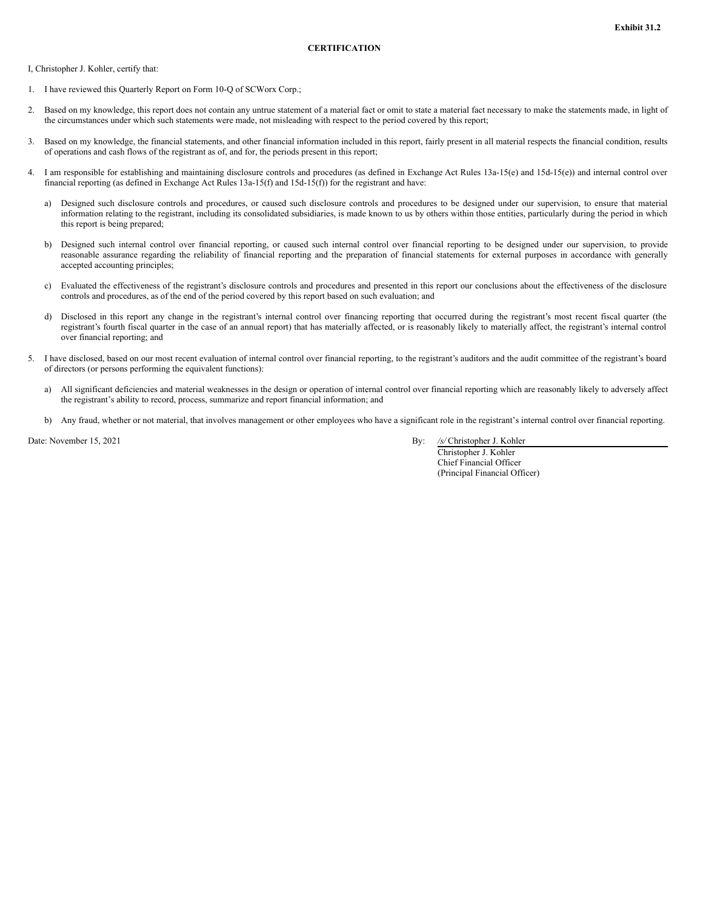<span id="page-23-0"></span>I, Christopher J. Kohler, certify that:

- 1. I have reviewed this Quarterly Report on Form 10-Q of SCWorx Corp.;
- 2. Based on my knowledge, this report does not contain any untrue statement of a material fact or omit to state a material fact necessary to make the statements made, in light of the circumstances under which such statements were made, not misleading with respect to the period covered by this report;
- 3. Based on my knowledge, the financial statements, and other financial information included in this report, fairly present in all material respects the financial condition, results of operations and cash flows of the registrant as of, and for, the periods present in this report;
- 4. I am responsible for establishing and maintaining disclosure controls and procedures (as defined in Exchange Act Rules 13a-15(e) and 15d-15(e)) and internal control over financial reporting (as defined in Exchange Act Rules 13a-15(f) and 15d-15(f)) for the registrant and have:
	- a) Designed such disclosure controls and procedures, or caused such disclosure controls and procedures to be designed under our supervision, to ensure that material information relating to the registrant, including its consolidated subsidiaries, is made known to us by others within those entities, particularly during the period in which this report is being prepared;
	- b) Designed such internal control over financial reporting, or caused such internal control over financial reporting to be designed under our supervision, to provide reasonable assurance regarding the reliability of financial reporting and the preparation of financial statements for external purposes in accordance with generally accepted accounting principles;
	- c) Evaluated the effectiveness of the registrant's disclosure controls and procedures and presented in this report our conclusions about the effectiveness of the disclosure controls and procedures, as of the end of the period covered by this report based on such evaluation; and
	- d) Disclosed in this report any change in the registrant's internal control over financing reporting that occurred during the registrant's most recent fiscal quarter (the registrant's fourth fiscal quarter in the case of an annual report) that has materially affected, or is reasonably likely to materially affect, the registrant's internal control over financial reporting; and
- 5. I have disclosed, based on our most recent evaluation of internal control over financial reporting, to the registrant's auditors and the audit committee of the registrant's board of directors (or persons performing the equivalent functions):
	- a) All significant deficiencies and material weaknesses in the design or operation of internal control over financial reporting which are reasonably likely to adversely affect the registrant's ability to record, process, summarize and report financial information; and
	- b) Any fraud, whether or not material, that involves management or other employees who have a significant role in the registrant's internal control over financial reporting.

Date: November 15, 2021 By: */s/* Christopher J. Kohler

Christopher J. Kohler Chief Financial Officer (Principal Financial Officer)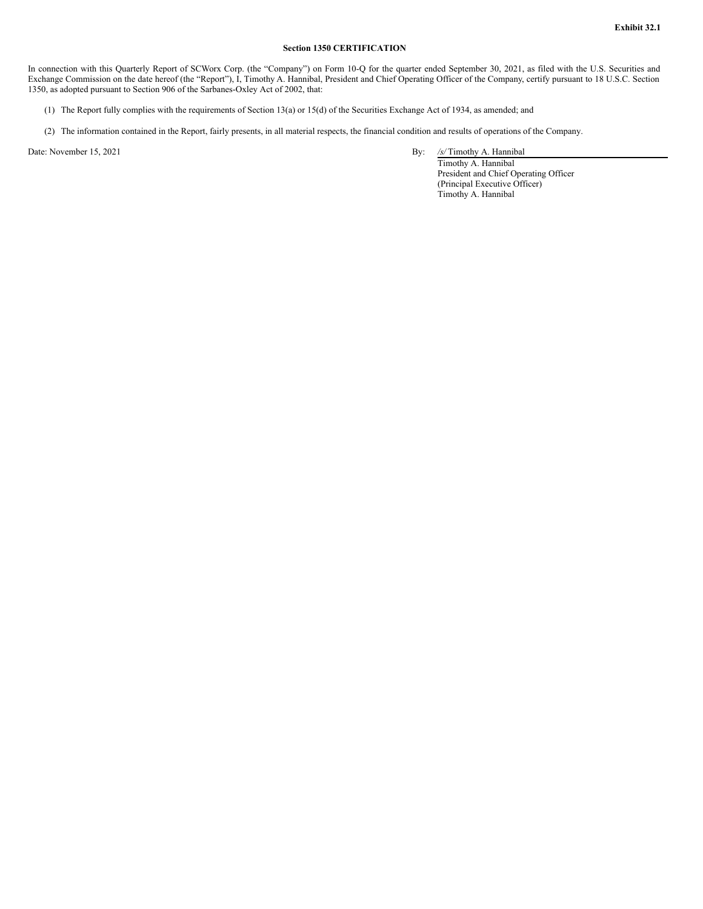# **Section 1350 CERTIFICATION**

<span id="page-24-0"></span>In connection with this Quarterly Report of SCWorx Corp. (the "Company") on Form 10-Q for the quarter ended September 30, 2021, as filed with the U.S. Securities and Exchange Commission on the date hereof (the "Report"), I, Timothy A. Hannibal, President and Chief Operating Officer of the Company, certify pursuant to 18 U.S.C. Section 1350, as adopted pursuant to Section 906 of the Sarbanes-Oxley Act of 2002, that:

- (1) The Report fully complies with the requirements of Section 13(a) or 15(d) of the Securities Exchange Act of 1934, as amended; and
- (2) The information contained in the Report, fairly presents, in all material respects, the financial condition and results of operations of the Company.

Date: November 15, 2021 By: /s/Timothy A. Hannibal

Timothy A. Hannibal President and Chief Operating Officer (Principal Executive Officer) Timothy A. Hannibal